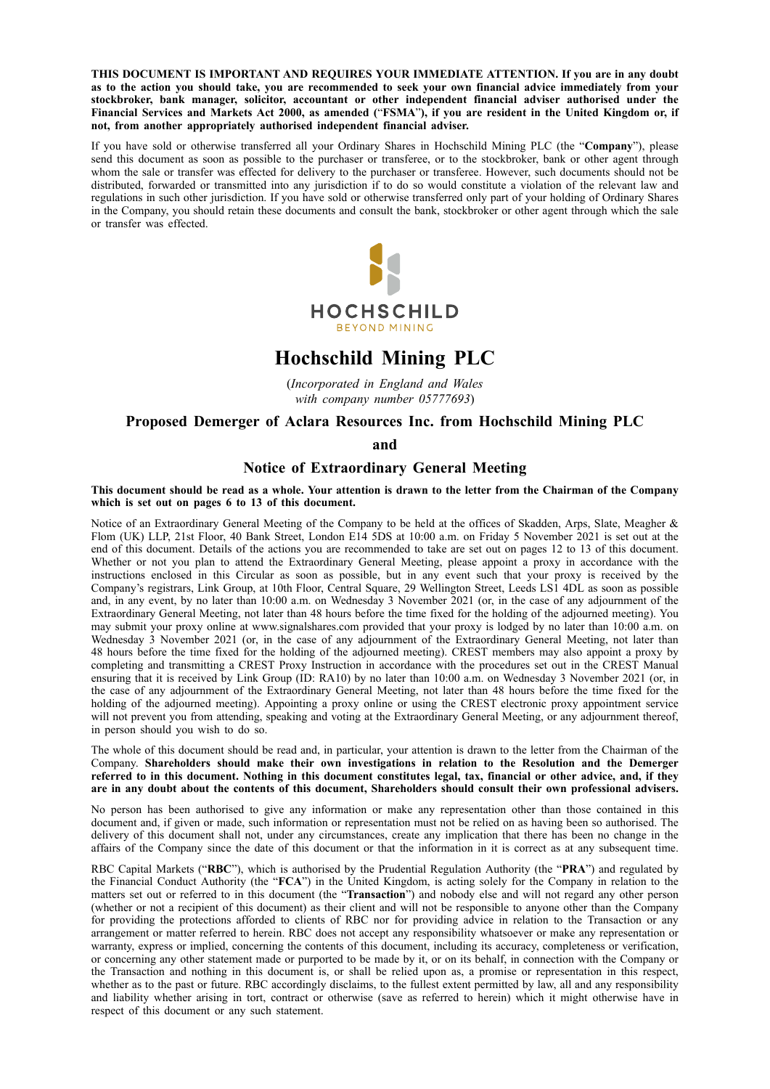**THIS DOCUMENT IS IMPORTANT AND REQUIRES YOUR IMMEDIATE ATTENTION. If you are in any doubt** as to the action you should take, you are recommended to seek your own financial advice immediately from your **stockbroker, bank manager, solicitor, accountant or other independent financial adviser authorised under the** Financial Services and Markets Act 2000, as amended ("FSMA"), if you are resident in the United Kingdom or, if **not, from another appropriately authorised independent financial adviser.**

If you have sold or otherwise transferred all your Ordinary Shares in Hochschild Mining PLC (the "**Company**"), please send this document as soon as possible to the purchaser or transferee, or to the stockbroker, bank or other agent through whom the sale or transfer was effected for delivery to the purchaser or transferee. However, such documents should not be distributed, forwarded or transmitted into any jurisdiction if to do so would constitute a violation of the relevant law and regulations in such other jurisdiction. If you have sold or otherwise transferred only part of your holding of Ordinary Shares in the Company, you should retain these documents and consult the bank, stockbroker or other agent through which the sale or transfer was effected.



# **Hochschild Mining PLC**

(*Incorporated in England and Wales with company number 05777693*)

## **Proposed Demerger of Aclara Resources Inc. from Hochschild Mining PLC**

**and**

## **Notice of Extraordinary General Meeting**

This document should be read as a whole. Your attention is drawn to the letter from the Chairman of the Company **which is set out on pages 6 to 13 of this document.**

Notice of an Extraordinary General Meeting of the Company to be held at the offices of Skadden, Arps, Slate, Meagher & Flom (UK) LLP, 21st Floor, 40 Bank Street, London E14 5DS at 10:00 a.m. on Friday 5 November 2021 is set out at the end of this document. Details of the actions you are recommended to take are set out on pages 12 to 13 of this document. Whether or not you plan to attend the Extraordinary General Meeting, please appoint a proxy in accordance with the instructions enclosed in this Circular as soon as possible, but in any event such that your proxy is received by the Company's registrars, Link Group, at 10th Floor, Central Square, 29 Wellington Street, Leeds LS1 4DL as soon as possible and, in any event, by no later than 10:00 a.m. on Wednesday 3 November 2021 (or, in the case of any adjournment of the Extraordinary General Meeting, not later than 48 hours before the time fixed for the holding of the adjourned meeting). You may submit your proxy online at www.signalshares.com provided that your proxy is lodged by no later than 10:00 a.m. on Wednesday 3 November 2021 (or, in the case of any adjournment of the Extraordinary General Meeting, not later than 48 hours before the time fixed for the holding of the adjourned meeting). CREST members may also appoint a proxy by completing and transmitting a CREST Proxy Instruction in accordance with the procedures set out in the CREST Manual ensuring that it is received by Link Group (ID: RA10) by no later than 10:00 a.m. on Wednesday 3 November 2021 (or, in the case of any adjournment of the Extraordinary General Meeting, not later than 48 hours before the time fixed for the holding of the adjourned meeting). Appointing a proxy online or using the CREST electronic proxy appointment service will not prevent you from attending, speaking and voting at the Extraordinary General Meeting, or any adjournment thereof, in person should you wish to do so.

The whole of this document should be read and, in particular, your attention is drawn to the letter from the Chairman of the Company. **Shareholders should make their own investigations in relation to the Resolution and the Demerger** referred to in this document. Nothing in this document constitutes legal, tax, financial or other advice, and, if they are in any doubt about the contents of this document. Shareholders should consult their own professional advisers.

No person has been authorised to give any information or make any representation other than those contained in this document and, if given or made, such information or representation must not be relied on as having been so authorised. The delivery of this document shall not, under any circumstances, create any implication that there has been no change in the affairs of the Company since the date of this document or that the information in it is correct as at any subsequent time.

RBC Capital Markets ("**RBC**"), which is authorised by the Prudential Regulation Authority (the "**PRA**") and regulated by the Financial Conduct Authority (the "**FCA**") in the United Kingdom, is acting solely for the Company in relation to the matters set out or referred to in this document (the "**Transaction**") and nobody else and will not regard any other person (whether or not a recipient of this document) as their client and will not be responsible to anyone other than the Company for providing the protections afforded to clients of RBC nor for providing advice in relation to the Transaction or any arrangement or matter referred to herein. RBC does not accept any responsibility whatsoever or make any representation or warranty, express or implied, concerning the contents of this document, including its accuracy, completeness or verification, or concerning any other statement made or purported to be made by it, or on its behalf, in connection with the Company or the Transaction and nothing in this document is, or shall be relied upon as, a promise or representation in this respect, whether as to the past or future. RBC accordingly disclaims, to the fullest extent permitted by law, all and any responsibility and liability whether arising in tort, contract or otherwise (save as referred to herein) which it might otherwise have in respect of this document or any such statement.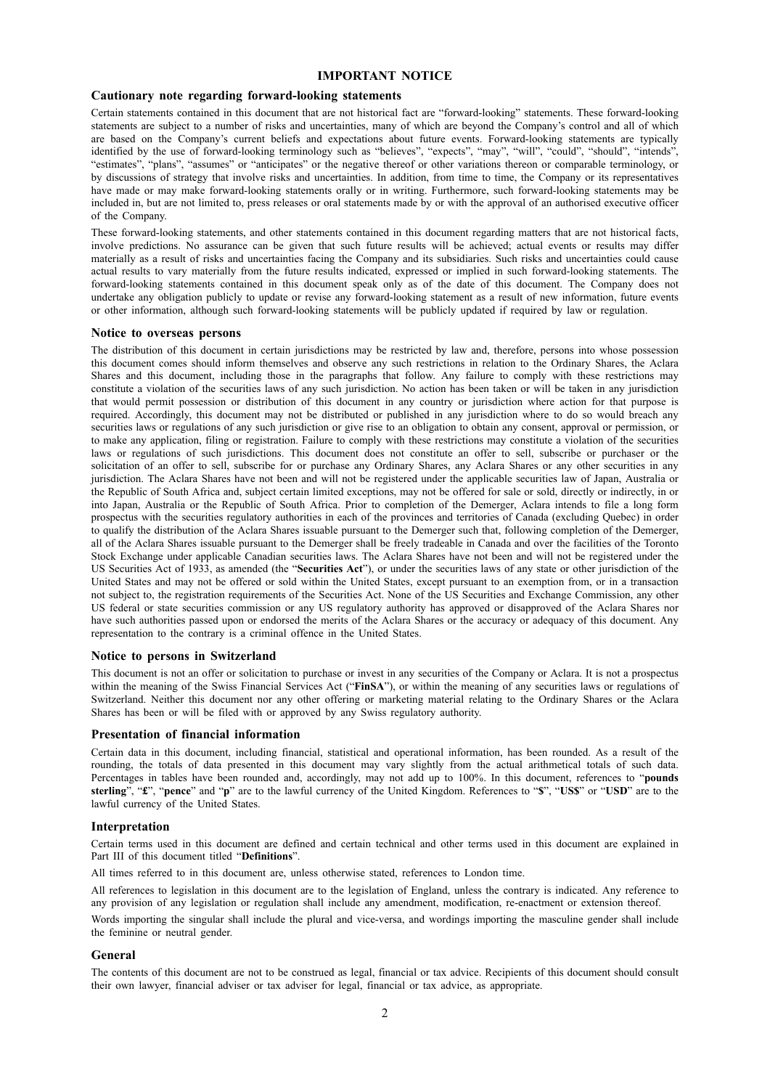## **IMPORTANT NOTICE**

#### **Cautionary note regarding forward-looking statements**

Certain statements contained in this document that are not historical fact are "forward-looking" statements. These forward-looking statements are subject to a number of risks and uncertainties, many of which are beyond the Company's control and all of which are based on the Company's current beliefs and expectations about future events. Forward-looking statements are typically identified by the use of forward-looking terminology such as "believes", "expects", "may", "will", "could", "should", "intends", "estimates", "plans", "assumes" or "anticipates" or the negative thereof or other variations thereon or comparable terminology, or by discussions of strategy that involve risks and uncertainties. In addition, from time to time, the Company or its representatives have made or may make forward-looking statements orally or in writing. Furthermore, such forward-looking statements may be included in, but are not limited to, press releases or oral statements made by or with the approval of an authorised executive officer of the Company.

These forward-looking statements, and other statements contained in this document regarding matters that are not historical facts, involve predictions. No assurance can be given that such future results will be achieved; actual events or results may differ materially as a result of risks and uncertainties facing the Company and its subsidiaries. Such risks and uncertainties could cause actual results to vary materially from the future results indicated, expressed or implied in such forward-looking statements. The forward-looking statements contained in this document speak only as of the date of this document. The Company does not undertake any obligation publicly to update or revise any forward-looking statement as a result of new information, future events or other information, although such forward-looking statements will be publicly updated if required by law or regulation.

#### **Notice to overseas persons**

The distribution of this document in certain jurisdictions may be restricted by law and, therefore, persons into whose possession this document comes should inform themselves and observe any such restrictions in relation to the Ordinary Shares, the Aclara Shares and this document, including those in the paragraphs that follow. Any failure to comply with these restrictions may constitute a violation of the securities laws of any such jurisdiction. No action has been taken or will be taken in any jurisdiction that would permit possession or distribution of this document in any country or jurisdiction where action for that purpose is required. Accordingly, this document may not be distributed or published in any jurisdiction where to do so would breach any securities laws or regulations of any such jurisdiction or give rise to an obligation to obtain any consent, approval or permission, or to make any application, filing or registration. Failure to comply with these restrictions may constitute a violation of the securities laws or regulations of such jurisdictions. This document does not constitute an offer to sell, subscribe or purchaser or the solicitation of an offer to sell, subscribe for or purchase any Ordinary Shares, any Aclara Shares or any other securities in any jurisdiction. The Aclara Shares have not been and will not be registered under the applicable securities law of Japan, Australia or the Republic of South Africa and, subject certain limited exceptions, may not be offered for sale or sold, directly or indirectly, in or into Japan, Australia or the Republic of South Africa. Prior to completion of the Demerger, Aclara intends to file a long form prospectus with the securities regulatory authorities in each of the provinces and territories of Canada (excluding Quebec) in order to qualify the distribution of the Aclara Shares issuable pursuant to the Demerger such that, following completion of the Demerger, all of the Aclara Shares issuable pursuant to the Demerger shall be freely tradeable in Canada and over the facilities of the Toronto Stock Exchange under applicable Canadian securities laws. The Aclara Shares have not been and will not be registered under the US Securities Act of 1933, as amended (the "**Securities Act**"), or under the securities laws of any state or other jurisdiction of the United States and may not be offered or sold within the United States, except pursuant to an exemption from, or in a transaction not subject to, the registration requirements of the Securities Act. None of the US Securities and Exchange Commission, any other US federal or state securities commission or any US regulatory authority has approved or disapproved of the Aclara Shares nor have such authorities passed upon or endorsed the merits of the Aclara Shares or the accuracy or adequacy of this document. Any representation to the contrary is a criminal offence in the United States.

## **Notice to persons in Switzerland**

This document is not an offer or solicitation to purchase or invest in any securities of the Company or Aclara. It is not a prospectus within the meaning of the Swiss Financial Services Act ("FinSA"), or within the meaning of any securities laws or regulations of Switzerland. Neither this document nor any other offering or marketing material relating to the Ordinary Shares or the Aclara Shares has been or will be filed with or approved by any Swiss regulatory authority.

#### **Presentation of financial information**

Certain data in this document, including financial, statistical and operational information, has been rounded. As a result of the rounding, the totals of data presented in this document may vary slightly from the actual arithmetical totals of such data. Percentages in tables have been rounded and, accordingly, may not add up to 100%. In this document, references to "**pounds sterling**", "**£**", "**pence**" and "**p**" are to the lawful currency of the United Kingdom. References to "**\$**", "**US\$**" or "**USD**" are to the lawful currency of the United States.

#### **Interpretation**

Certain terms used in this document are defined and certain technical and other terms used in this document are explained in Part III of this document titled "**Definitions**".

All times referred to in this document are, unless otherwise stated, references to London time.

All references to legislation in this document are to the legislation of England, unless the contrary is indicated. Any reference to any provision of any legislation or regulation shall include any amendment, modification, re-enactment or extension thereof.

Words importing the singular shall include the plural and vice-versa, and wordings importing the masculine gender shall include the feminine or neutral gender.

#### **General**

The contents of this document are not to be construed as legal, financial or tax advice. Recipients of this document should consult their own lawyer, financial adviser or tax adviser for legal, financial or tax advice, as appropriate.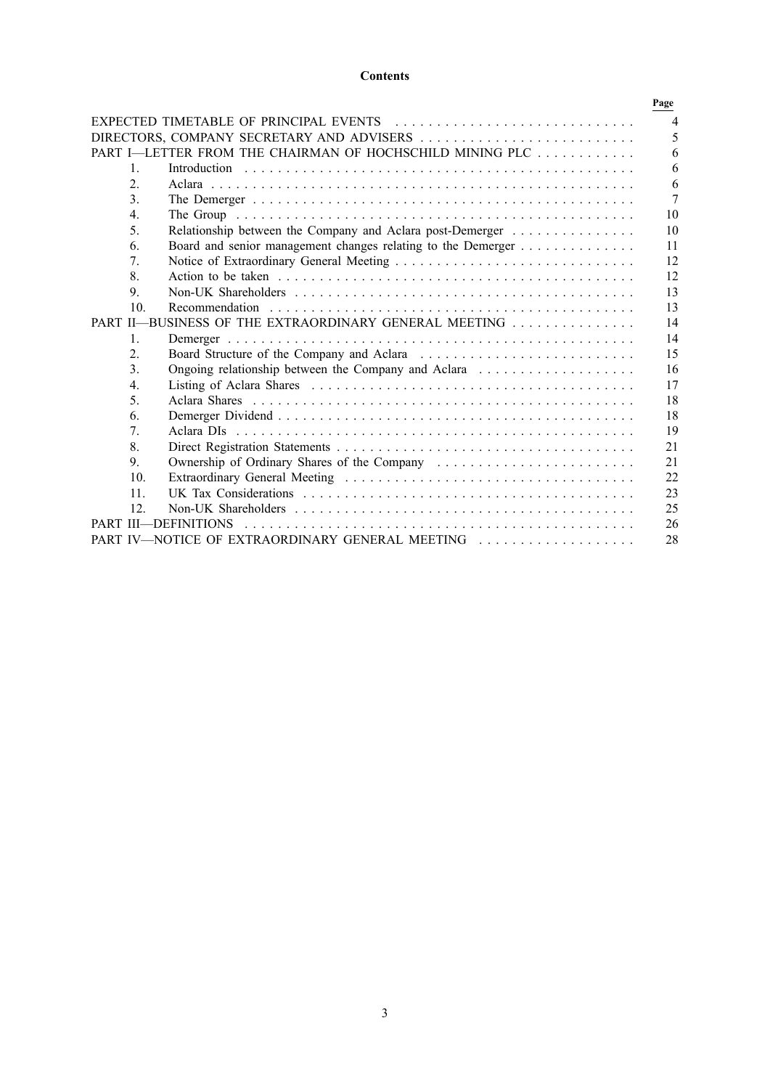## **Contents**

|                  |                                                              | Page           |
|------------------|--------------------------------------------------------------|----------------|
|                  | EXPECTED TIMETABLE OF PRINCIPAL EVENTS                       | $\overline{4}$ |
|                  |                                                              | 5              |
|                  | PART I-LETTER FROM THE CHAIRMAN OF HOCHSCHILD MINING PLC     | 6              |
| $\mathbf{1}$     |                                                              | 6              |
| $\overline{2}$ . |                                                              | 6              |
| 3.               |                                                              | $\overline{7}$ |
| $\overline{4}$ . |                                                              | 10             |
| 5.               | Relationship between the Company and Aclara post-Demerger    | 10             |
| 6.               | Board and senior management changes relating to the Demerger | 11             |
| 7.               |                                                              | 12             |
| 8.               |                                                              | 12             |
| 9.               |                                                              | 13             |
| 10.              |                                                              | 13             |
|                  | PART II-BUSINESS OF THE EXTRAORDINARY GENERAL MEETING        | 14             |
| $\mathbf{1}$ .   |                                                              | 14             |
| $\overline{2}$ . |                                                              | 15             |
| $\mathcal{E}$    | Ongoing relationship between the Company and Aclara          | 16             |
| $\overline{4}$ . |                                                              | 17             |
| 5.               |                                                              | 18             |
| 6.               |                                                              | 18             |
| 7 <sub>1</sub>   |                                                              | 19             |
| 8.               |                                                              | 21             |
| 9.               | Ownership of Ordinary Shares of the Company                  | 21             |
| 10.              |                                                              | 22             |
| 11               |                                                              | 23             |
| 12               |                                                              | 25             |
|                  | PART III-DEFINITIONS                                         | 26             |
|                  | PART IV-NOTICE OF EXTRAORDINARY GENERAL MEETING              | 28             |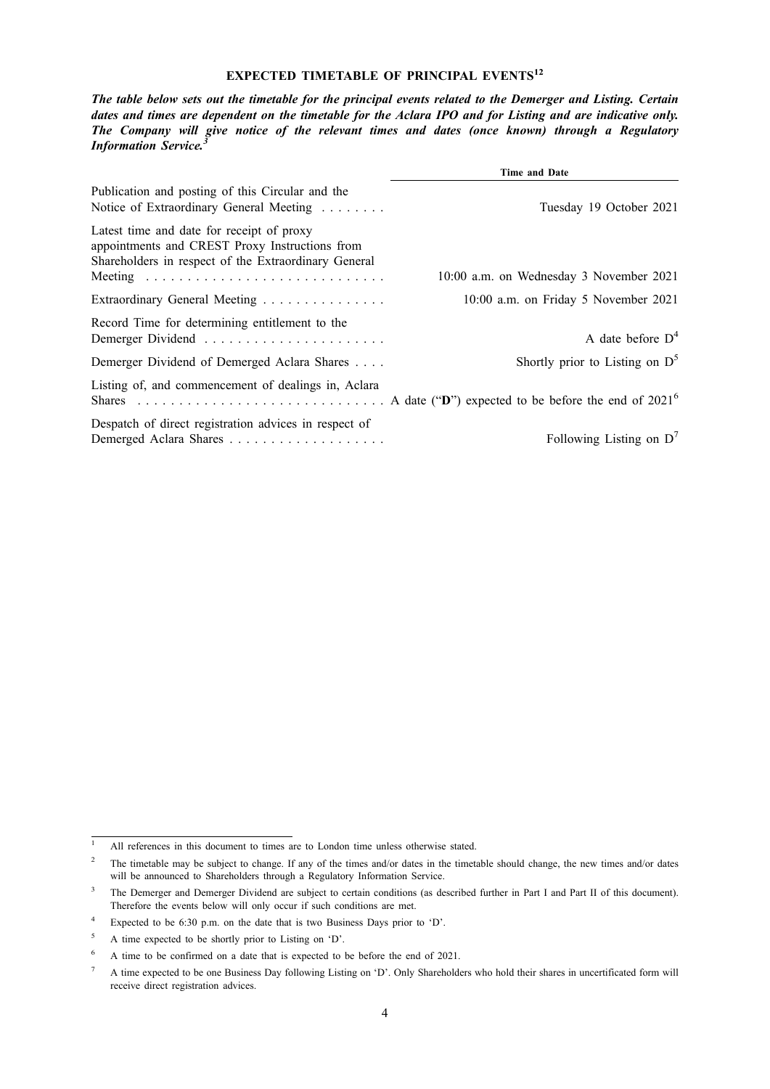## **EXPECTED TIMETABLE OF PRINCIPAL EVENTS12**

The table below sets out the timetable for the principal events related to the Demerger and Listing. Certain dates and times are dependent on the timetable for the Aclara IPO and for Listing and are indicative only. *The Company will give notice of the relevant times and dates (once known) through a Regulatory Information Service.<sup>3</sup>*

|                                                                                                                                                     | <b>Time and Date</b>                    |
|-----------------------------------------------------------------------------------------------------------------------------------------------------|-----------------------------------------|
| Publication and posting of this Circular and the<br>Notice of Extraordinary General Meeting                                                         | Tuesday 19 October 2021                 |
| Latest time and date for receipt of proxy<br>appointments and CREST Proxy Instructions from<br>Shareholders in respect of the Extraordinary General | 10:00 a.m. on Wednesday 3 November 2021 |
| Extraordinary General Meeting                                                                                                                       | 10:00 a.m. on Friday 5 November 2021    |
| Record Time for determining entitlement to the                                                                                                      | A date before $D4$                      |
| Demerger Dividend of Demerged Aclara Shares                                                                                                         | Shortly prior to Listing on $D^5$       |
| Listing of, and commencement of dealings in, Aclara                                                                                                 |                                         |
| Despatch of direct registration advices in respect of                                                                                               | Following Listing on $D^7$              |

<sup>&</sup>lt;sup>1</sup> All references in this document to times are to London time unless otherwise stated.

<sup>&</sup>lt;sup>2</sup> The timetable may be subject to change. If any of the times and/or dates in the timetable should change, the new times and/or dates will be announced to Shareholders through a Regulatory Information Service.

<sup>&</sup>lt;sup>3</sup> The Demerger and Demerger Dividend are subject to certain conditions (as described further in Part I and Part II of this document). Therefore the events below will only occur if such conditions are met.

<sup>4</sup> Expected to be 6:30 p.m. on the date that is two Business Days prior to 'D'.

<sup>5</sup> A time expected to be shortly prior to Listing on 'D'.

<sup>6</sup> A time to be confirmed on a date that is expected to be before the end of 2021.

<sup>&</sup>lt;sup>7</sup> A time expected to be one Business Day following Listing on 'D'. Only Shareholders who hold their shares in uncertificated form will receive direct registration advices.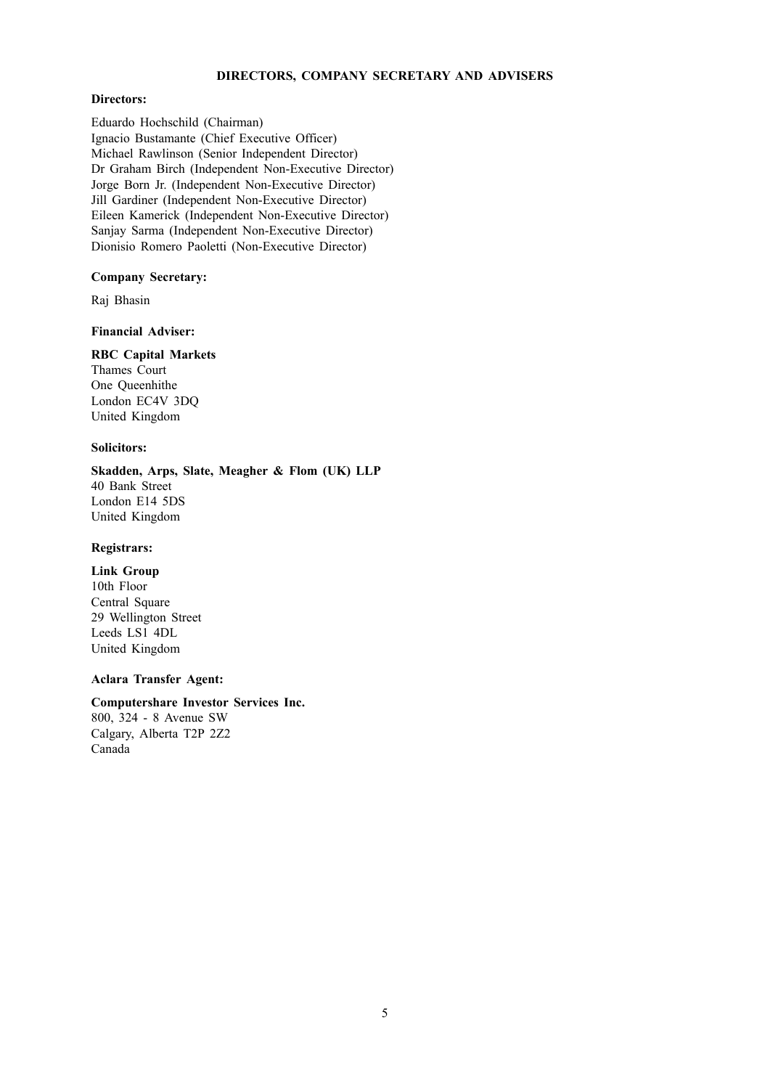## **DIRECTORS, COMPANY SECRETARY AND ADVISERS**

## **Directors:**

Eduardo Hochschild (Chairman) Ignacio Bustamante (Chief Executive Officer) Michael Rawlinson (Senior Independent Director) Dr Graham Birch (Independent Non-Executive Director) Jorge Born Jr. (Independent Non-Executive Director) Jill Gardiner (Independent Non-Executive Director) Eileen Kamerick (Independent Non-Executive Director) Sanjay Sarma (Independent Non-Executive Director) Dionisio Romero Paoletti (Non-Executive Director)

## **Company Secretary:**

Raj Bhasin

## **Financial Adviser:**

## **RBC Capital Markets**

Thames Court One Queenhithe London EC4V 3DQ United Kingdom

## **Solicitors:**

**Skadden, Arps, Slate, Meagher & Flom (UK) LLP** 40 Bank Street London E14 5DS United Kingdom

## **Registrars:**

**Link Group** 10th Floor Central Square 29 Wellington Street Leeds LS1 4DL United Kingdom

## **Aclara Transfer Agent:**

## **Computershare Investor Services Inc.**

800, 324 - 8 Avenue SW Calgary, Alberta T2P 2Z2 Canada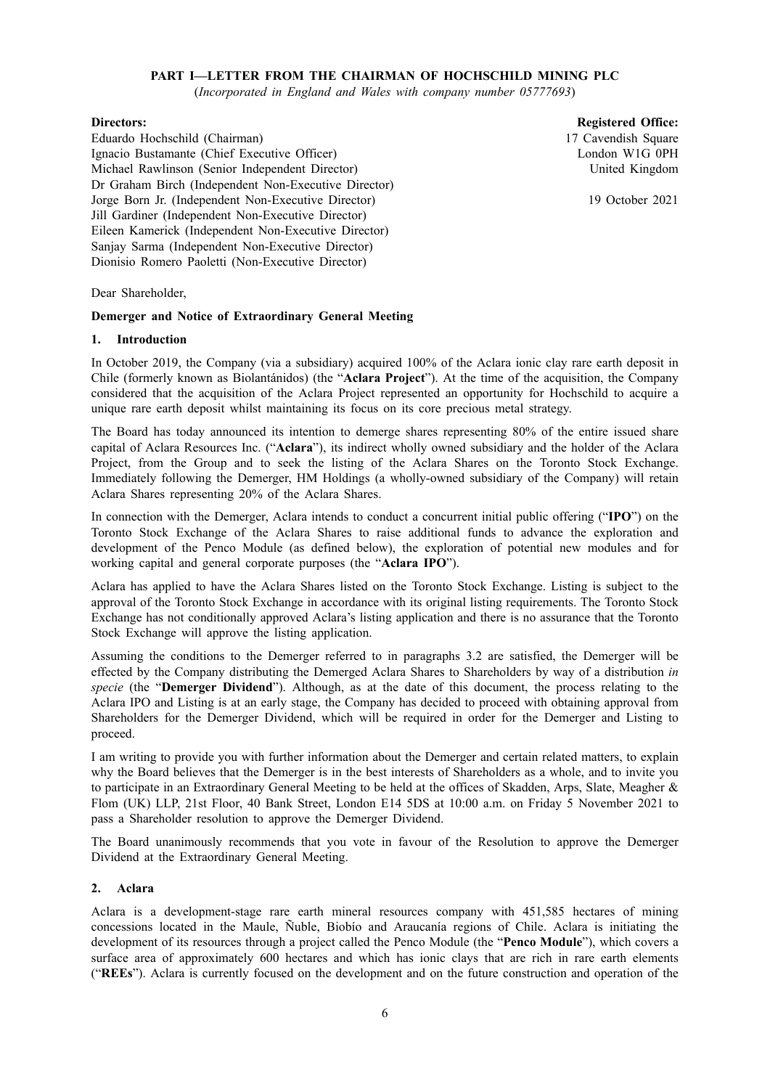## **PART I—LETTER FROM THE CHAIRMAN OF HOCHSCHILD MINING PLC**

(*Incorporated in England and Wales with company number 05777693*)

## **Directors:**

Eduardo Hochschild (Chairman) Ignacio Bustamante (Chief Executive Officer) Michael Rawlinson (Senior Independent Director) Dr Graham Birch (Independent Non-Executive Director) Jorge Born Jr. (Independent Non-Executive Director) Jill Gardiner (Independent Non-Executive Director) Eileen Kamerick (Independent Non-Executive Director) Sanjay Sarma (Independent Non-Executive Director) Dionisio Romero Paoletti (Non-Executive Director)

**Registered Office:** 17 Cavendish Square London W1G 0PH United Kingdom

19 October 2021

Dear Shareholder,

## **Demerger and Notice of Extraordinary General Meeting**

## **1. Introduction**

In October 2019, the Company (via a subsidiary) acquired 100% of the Aclara ionic clay rare earth deposit in Chile (formerly known as Biolantánidos) (the "**Aclara Project**"). At the time of the acquisition, the Company considered that the acquisition of the Aclara Project represented an opportunity for Hochschild to acquire a unique rare earth deposit whilst maintaining its focus on its core precious metal strategy.

The Board has today announced its intention to demerge shares representing 80% of the entire issued share capital of Aclara Resources Inc. ("**Aclara**"), its indirect wholly owned subsidiary and the holder of the Aclara Project, from the Group and to seek the listing of the Aclara Shares on the Toronto Stock Exchange. Immediately following the Demerger, HM Holdings (a wholly-owned subsidiary of the Company) will retain Aclara Shares representing 20% of the Aclara Shares.

In connection with the Demerger, Aclara intends to conduct a concurrent initial public offering ("**IPO**") on the Toronto Stock Exchange of the Aclara Shares to raise additional funds to advance the exploration and development of the Penco Module (as defined below), the exploration of potential new modules and for working capital and general corporate purposes (the "**Aclara IPO**").

Aclara has applied to have the Aclara Shares listed on the Toronto Stock Exchange. Listing is subject to the approval of the Toronto Stock Exchange in accordance with its original listing requirements. The Toronto Stock Exchange has not conditionally approved Aclara's listing application and there is no assurance that the Toronto Stock Exchange will approve the listing application.

Assuming the conditions to the Demerger referred to in paragraphs 3.2 are satisfied, the Demerger will be effected by the Company distributing the Demerged Aclara Shares to Shareholders by way of a distribution *in specie* (the "**Demerger Dividend**"). Although, as at the date of this document, the process relating to the Aclara IPO and Listing is at an early stage, the Company has decided to proceed with obtaining approval from Shareholders for the Demerger Dividend, which will be required in order for the Demerger and Listing to proceed.

I am writing to provide you with further information about the Demerger and certain related matters, to explain why the Board believes that the Demerger is in the best interests of Shareholders as a whole, and to invite you to participate in an Extraordinary General Meeting to be held at the offices of Skadden, Arps, Slate, Meagher & Flom (UK) LLP, 21st Floor, 40 Bank Street, London E14 5DS at 10:00 a.m. on Friday 5 November 2021 to pass a Shareholder resolution to approve the Demerger Dividend.

The Board unanimously recommends that you vote in favour of the Resolution to approve the Demerger Dividend at the Extraordinary General Meeting.

## **2. Aclara**

Aclara is a development-stage rare earth mineral resources company with 451,585 hectares of mining concessions located in the Maule, Ñuble, Biobío and Araucanía regions of Chile. Aclara is initiating the development of its resources through a project called the Penco Module (the "**Penco Module**"), which covers a surface area of approximately 600 hectares and which has ionic clays that are rich in rare earth elements ("**REEs**"). Aclara is currently focused on the development and on the future construction and operation of the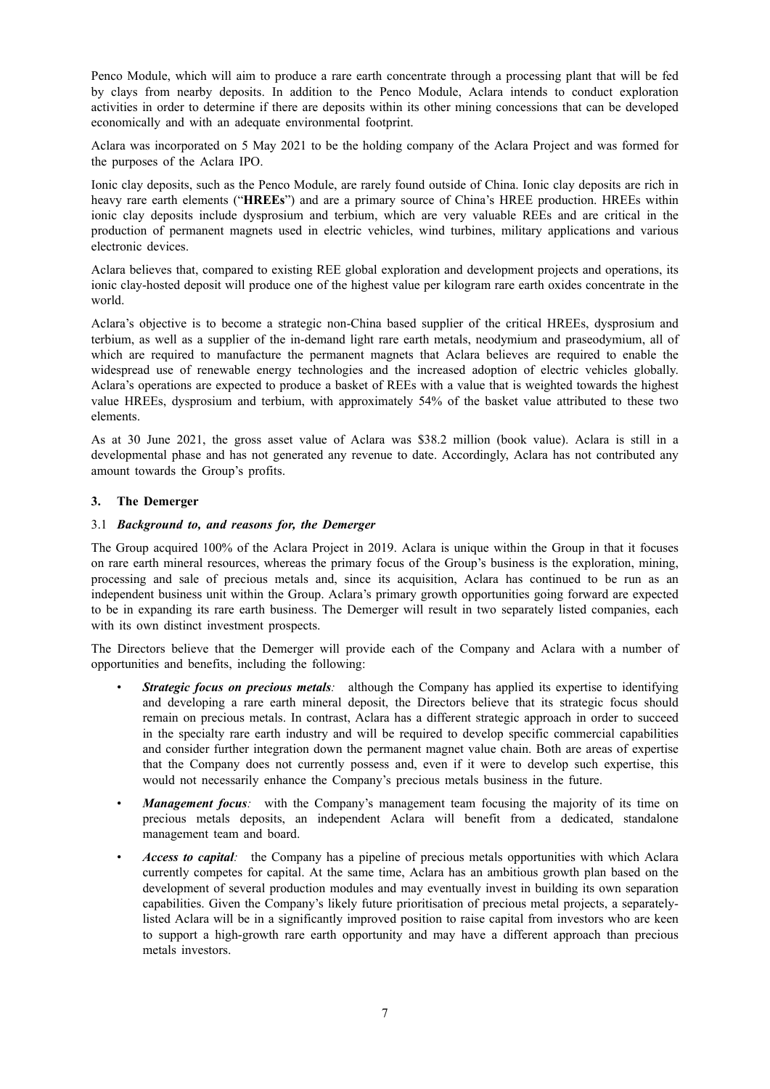Penco Module, which will aim to produce a rare earth concentrate through a processing plant that will be fed by clays from nearby deposits. In addition to the Penco Module, Aclara intends to conduct exploration activities in order to determine if there are deposits within its other mining concessions that can be developed economically and with an adequate environmental footprint.

Aclara was incorporated on 5 May 2021 to be the holding company of the Aclara Project and was formed for the purposes of the Aclara IPO.

Ionic clay deposits, such as the Penco Module, are rarely found outside of China. Ionic clay deposits are rich in heavy rare earth elements ("**HREEs**") and are a primary source of China's HREE production. HREEs within ionic clay deposits include dysprosium and terbium, which are very valuable REEs and are critical in the production of permanent magnets used in electric vehicles, wind turbines, military applications and various electronic devices.

Aclara believes that, compared to existing REE global exploration and development projects and operations, its ionic clay-hosted deposit will produce one of the highest value per kilogram rare earth oxides concentrate in the world.

Aclara's objective is to become a strategic non-China based supplier of the critical HREEs, dysprosium and terbium, as well as a supplier of the in-demand light rare earth metals, neodymium and praseodymium, all of which are required to manufacture the permanent magnets that Aclara believes are required to enable the widespread use of renewable energy technologies and the increased adoption of electric vehicles globally. Aclara's operations are expected to produce a basket of REEs with a value that is weighted towards the highest value HREEs, dysprosium and terbium, with approximately 54% of the basket value attributed to these two elements.

As at 30 June 2021, the gross asset value of Aclara was \$38.2 million (book value). Aclara is still in a developmental phase and has not generated any revenue to date. Accordingly, Aclara has not contributed any amount towards the Group's profits.

## **3. The Demerger**

## 3.1 *Background to, and reasons for, the Demerger*

The Group acquired 100% of the Aclara Project in 2019. Aclara is unique within the Group in that it focuses on rare earth mineral resources, whereas the primary focus of the Group's business is the exploration, mining, processing and sale of precious metals and, since its acquisition, Aclara has continued to be run as an independent business unit within the Group. Aclara's primary growth opportunities going forward are expected to be in expanding its rare earth business. The Demerger will result in two separately listed companies, each with its own distinct investment prospects.

The Directors believe that the Demerger will provide each of the Company and Aclara with a number of opportunities and benefits, including the following:

- *Strategic focus on precious metals:* although the Company has applied its expertise to identifying and developing a rare earth mineral deposit, the Directors believe that its strategic focus should remain on precious metals. In contrast, Aclara has a different strategic approach in order to succeed in the specialty rare earth industry and will be required to develop specific commercial capabilities and consider further integration down the permanent magnet value chain. Both are areas of expertise that the Company does not currently possess and, even if it were to develop such expertise, this would not necessarily enhance the Company's precious metals business in the future.
- *Management focus:* with the Company's management team focusing the majority of its time on precious metals deposits, an independent Aclara will benefit from a dedicated, standalone management team and board.
- *Access to capital:* the Company has a pipeline of precious metals opportunities with which Aclara currently competes for capital. At the same time, Aclara has an ambitious growth plan based on the development of several production modules and may eventually invest in building its own separation capabilities. Given the Company's likely future prioritisation of precious metal projects, a separatelylisted Aclara will be in a significantly improved position to raise capital from investors who are keen to support a high-growth rare earth opportunity and may have a different approach than precious metals investors.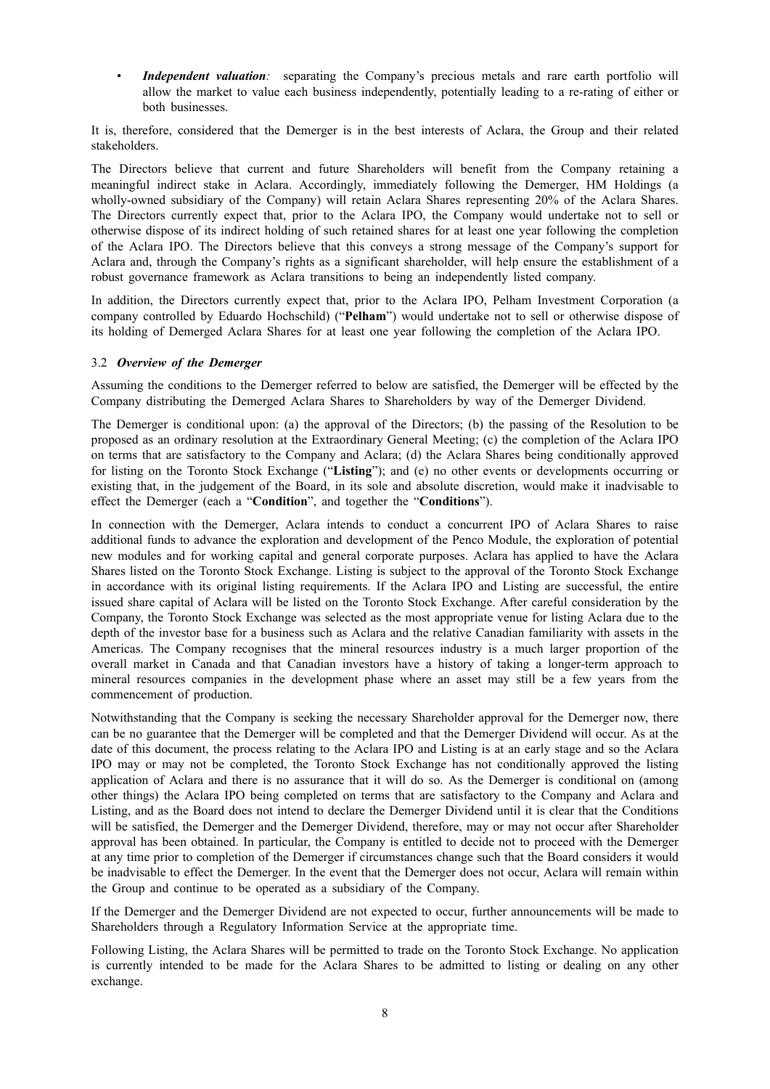*Independent valuation:* separating the Company's precious metals and rare earth portfolio will allow the market to value each business independently, potentially leading to a re-rating of either or both businesses.

It is, therefore, considered that the Demerger is in the best interests of Aclara, the Group and their related stakeholders.

The Directors believe that current and future Shareholders will benefit from the Company retaining a meaningful indirect stake in Aclara. Accordingly, immediately following the Demerger, HM Holdings (a wholly-owned subsidiary of the Company) will retain Aclara Shares representing 20% of the Aclara Shares. The Directors currently expect that, prior to the Aclara IPO, the Company would undertake not to sell or otherwise dispose of its indirect holding of such retained shares for at least one year following the completion of the Aclara IPO. The Directors believe that this conveys a strong message of the Company's support for Aclara and, through the Company's rights as a significant shareholder, will help ensure the establishment of a robust governance framework as Aclara transitions to being an independently listed company.

In addition, the Directors currently expect that, prior to the Aclara IPO, Pelham Investment Corporation (a company controlled by Eduardo Hochschild) ("**Pelham**") would undertake not to sell or otherwise dispose of its holding of Demerged Aclara Shares for at least one year following the completion of the Aclara IPO.

## 3.2 *Overview of the Demerger*

Assuming the conditions to the Demerger referred to below are satisfied, the Demerger will be effected by the Company distributing the Demerged Aclara Shares to Shareholders by way of the Demerger Dividend.

The Demerger is conditional upon: (a) the approval of the Directors; (b) the passing of the Resolution to be proposed as an ordinary resolution at the Extraordinary General Meeting; (c) the completion of the Aclara IPO on terms that are satisfactory to the Company and Aclara; (d) the Aclara Shares being conditionally approved for listing on the Toronto Stock Exchange ("**Listing**"); and (e) no other events or developments occurring or existing that, in the judgement of the Board, in its sole and absolute discretion, would make it inadvisable to effect the Demerger (each a "**Condition**", and together the "**Conditions**").

In connection with the Demerger, Aclara intends to conduct a concurrent IPO of Aclara Shares to raise additional funds to advance the exploration and development of the Penco Module, the exploration of potential new modules and for working capital and general corporate purposes. Aclara has applied to have the Aclara Shares listed on the Toronto Stock Exchange. Listing is subject to the approval of the Toronto Stock Exchange in accordance with its original listing requirements. If the Aclara IPO and Listing are successful, the entire issued share capital of Aclara will be listed on the Toronto Stock Exchange. After careful consideration by the Company, the Toronto Stock Exchange was selected as the most appropriate venue for listing Aclara due to the depth of the investor base for a business such as Aclara and the relative Canadian familiarity with assets in the Americas. The Company recognises that the mineral resources industry is a much larger proportion of the overall market in Canada and that Canadian investors have a history of taking a longer-term approach to mineral resources companies in the development phase where an asset may still be a few years from the commencement of production.

Notwithstanding that the Company is seeking the necessary Shareholder approval for the Demerger now, there can be no guarantee that the Demerger will be completed and that the Demerger Dividend will occur. As at the date of this document, the process relating to the Aclara IPO and Listing is at an early stage and so the Aclara IPO may or may not be completed, the Toronto Stock Exchange has not conditionally approved the listing application of Aclara and there is no assurance that it will do so. As the Demerger is conditional on (among other things) the Aclara IPO being completed on terms that are satisfactory to the Company and Aclara and Listing, and as the Board does not intend to declare the Demerger Dividend until it is clear that the Conditions will be satisfied, the Demerger and the Demerger Dividend, therefore, may or may not occur after Shareholder approval has been obtained. In particular, the Company is entitled to decide not to proceed with the Demerger at any time prior to completion of the Demerger if circumstances change such that the Board considers it would be inadvisable to effect the Demerger. In the event that the Demerger does not occur, Aclara will remain within the Group and continue to be operated as a subsidiary of the Company.

If the Demerger and the Demerger Dividend are not expected to occur, further announcements will be made to Shareholders through a Regulatory Information Service at the appropriate time.

Following Listing, the Aclara Shares will be permitted to trade on the Toronto Stock Exchange. No application is currently intended to be made for the Aclara Shares to be admitted to listing or dealing on any other exchange.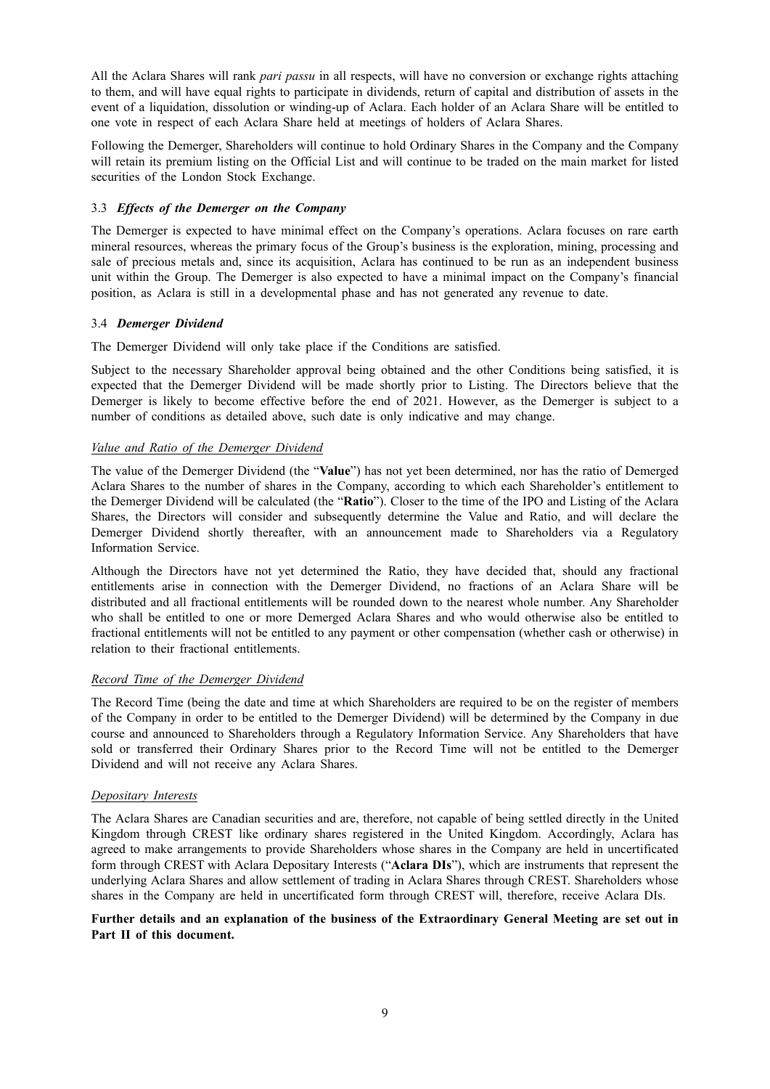All the Aclara Shares will rank *pari passu* in all respects, will have no conversion or exchange rights attaching to them, and will have equal rights to participate in dividends, return of capital and distribution of assets in the event of a liquidation, dissolution or winding-up of Aclara. Each holder of an Aclara Share will be entitled to one vote in respect of each Aclara Share held at meetings of holders of Aclara Shares.

Following the Demerger, Shareholders will continue to hold Ordinary Shares in the Company and the Company will retain its premium listing on the Official List and will continue to be traded on the main market for listed securities of the London Stock Exchange.

## 3.3 *Effects of the Demerger on the Company*

The Demerger is expected to have minimal effect on the Company's operations. Aclara focuses on rare earth mineral resources, whereas the primary focus of the Group's business is the exploration, mining, processing and sale of precious metals and, since its acquisition, Aclara has continued to be run as an independent business unit within the Group. The Demerger is also expected to have a minimal impact on the Company's financial position, as Aclara is still in a developmental phase and has not generated any revenue to date.

## 3.4 *Demerger Dividend*

The Demerger Dividend will only take place if the Conditions are satisfied.

Subject to the necessary Shareholder approval being obtained and the other Conditions being satisfied, it is expected that the Demerger Dividend will be made shortly prior to Listing. The Directors believe that the Demerger is likely to become effective before the end of 2021. However, as the Demerger is subject to a number of conditions as detailed above, such date is only indicative and may change.

## *Value and Ratio of the Demerger Dividend*

The value of the Demerger Dividend (the "**Value**") has not yet been determined, nor has the ratio of Demerged Aclara Shares to the number of shares in the Company, according to which each Shareholder's entitlement to the Demerger Dividend will be calculated (the "**Ratio**"). Closer to the time of the IPO and Listing of the Aclara Shares, the Directors will consider and subsequently determine the Value and Ratio, and will declare the Demerger Dividend shortly thereafter, with an announcement made to Shareholders via a Regulatory Information Service.

Although the Directors have not yet determined the Ratio, they have decided that, should any fractional entitlements arise in connection with the Demerger Dividend, no fractions of an Aclara Share will be distributed and all fractional entitlements will be rounded down to the nearest whole number. Any Shareholder who shall be entitled to one or more Demerged Aclara Shares and who would otherwise also be entitled to fractional entitlements will not be entitled to any payment or other compensation (whether cash or otherwise) in relation to their fractional entitlements.

## *Record Time of the Demerger Dividend*

The Record Time (being the date and time at which Shareholders are required to be on the register of members of the Company in order to be entitled to the Demerger Dividend) will be determined by the Company in due course and announced to Shareholders through a Regulatory Information Service. Any Shareholders that have sold or transferred their Ordinary Shares prior to the Record Time will not be entitled to the Demerger Dividend and will not receive any Aclara Shares.

## *Depositary Interests*

The Aclara Shares are Canadian securities and are, therefore, not capable of being settled directly in the United Kingdom through CREST like ordinary shares registered in the United Kingdom. Accordingly, Aclara has agreed to make arrangements to provide Shareholders whose shares in the Company are held in uncertificated form through CREST with Aclara Depositary Interests ("**Aclara DIs**"), which are instruments that represent the underlying Aclara Shares and allow settlement of trading in Aclara Shares through CREST. Shareholders whose shares in the Company are held in uncertificated form through CREST will, therefore, receive Aclara DIs.

## **Further details and an explanation of the business of the Extraordinary General Meeting are set out in Part II of this document.**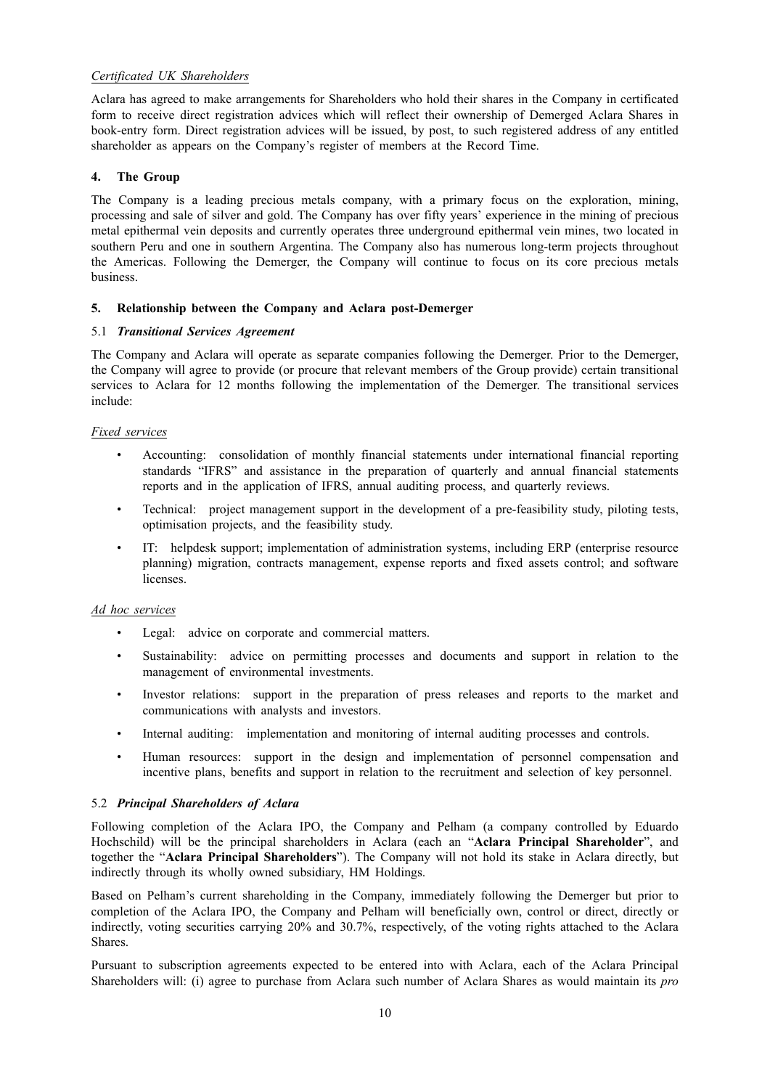## *Certificated UK Shareholders*

Aclara has agreed to make arrangements for Shareholders who hold their shares in the Company in certificated form to receive direct registration advices which will reflect their ownership of Demerged Aclara Shares in book-entry form. Direct registration advices will be issued, by post, to such registered address of any entitled shareholder as appears on the Company's register of members at the Record Time.

## **4. The Group**

The Company is a leading precious metals company, with a primary focus on the exploration, mining, processing and sale of silver and gold. The Company has over fifty years' experience in the mining of precious metal epithermal vein deposits and currently operates three underground epithermal vein mines, two located in southern Peru and one in southern Argentina. The Company also has numerous long-term projects throughout the Americas. Following the Demerger, the Company will continue to focus on its core precious metals business.

## **5. Relationship between the Company and Aclara post-Demerger**

## 5.1 *Transitional Services Agreement*

The Company and Aclara will operate as separate companies following the Demerger. Prior to the Demerger, the Company will agree to provide (or procure that relevant members of the Group provide) certain transitional services to Aclara for 12 months following the implementation of the Demerger. The transitional services include:

## *Fixed services*

- Accounting: consolidation of monthly financial statements under international financial reporting standards "IFRS" and assistance in the preparation of quarterly and annual financial statements reports and in the application of IFRS, annual auditing process, and quarterly reviews.
- Technical: project management support in the development of a pre-feasibility study, piloting tests, optimisation projects, and the feasibility study.
- IT: helpdesk support; implementation of administration systems, including ERP (enterprise resource planning) migration, contracts management, expense reports and fixed assets control; and software licenses.

## *Ad hoc services*

- Legal: advice on corporate and commercial matters.
- Sustainability: advice on permitting processes and documents and support in relation to the management of environmental investments.
- Investor relations: support in the preparation of press releases and reports to the market and communications with analysts and investors.
- Internal auditing: implementation and monitoring of internal auditing processes and controls.
- Human resources: support in the design and implementation of personnel compensation and incentive plans, benefits and support in relation to the recruitment and selection of key personnel.

## 5.2 *Principal Shareholders of Aclara*

Following completion of the Aclara IPO, the Company and Pelham (a company controlled by Eduardo Hochschild) will be the principal shareholders in Aclara (each an "**Aclara Principal Shareholder**", and together the "**Aclara Principal Shareholders**"). The Company will not hold its stake in Aclara directly, but indirectly through its wholly owned subsidiary, HM Holdings.

Based on Pelham's current shareholding in the Company, immediately following the Demerger but prior to completion of the Aclara IPO, the Company and Pelham will beneficially own, control or direct, directly or indirectly, voting securities carrying 20% and 30.7%, respectively, of the voting rights attached to the Aclara Shares.

Pursuant to subscription agreements expected to be entered into with Aclara, each of the Aclara Principal Shareholders will: (i) agree to purchase from Aclara such number of Aclara Shares as would maintain its *pro*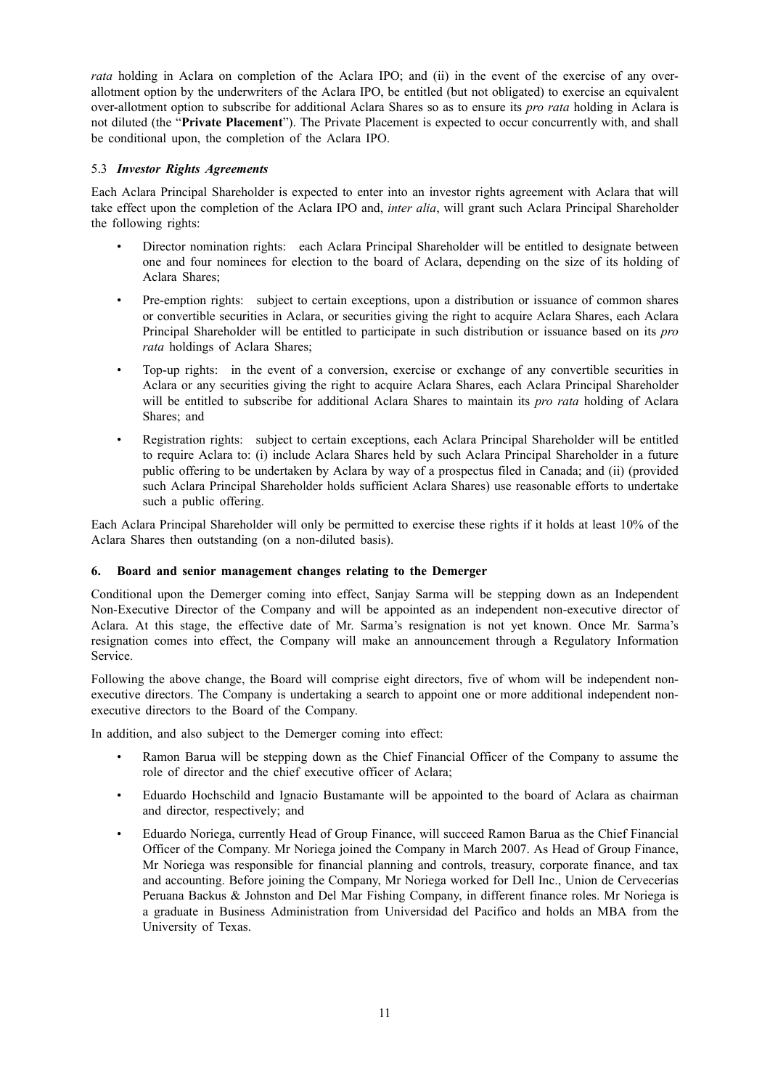*rata* holding in Aclara on completion of the Aclara IPO; and (ii) in the event of the exercise of any overallotment option by the underwriters of the Aclara IPO, be entitled (but not obligated) to exercise an equivalent over-allotment option to subscribe for additional Aclara Shares so as to ensure its *pro rata* holding in Aclara is not diluted (the "**Private Placement**"). The Private Placement is expected to occur concurrently with, and shall be conditional upon, the completion of the Aclara IPO.

## 5.3 *Investor Rights Agreements*

Each Aclara Principal Shareholder is expected to enter into an investor rights agreement with Aclara that will take effect upon the completion of the Aclara IPO and, *inter alia*, will grant such Aclara Principal Shareholder the following rights:

- Director nomination rights: each Aclara Principal Shareholder will be entitled to designate between one and four nominees for election to the board of Aclara, depending on the size of its holding of Aclara Shares;
- Pre-emption rights: subject to certain exceptions, upon a distribution or issuance of common shares or convertible securities in Aclara, or securities giving the right to acquire Aclara Shares, each Aclara Principal Shareholder will be entitled to participate in such distribution or issuance based on its *pro rata* holdings of Aclara Shares;
- Top-up rights: in the event of a conversion, exercise or exchange of any convertible securities in Aclara or any securities giving the right to acquire Aclara Shares, each Aclara Principal Shareholder will be entitled to subscribe for additional Aclara Shares to maintain its *pro rata* holding of Aclara Shares; and
- Registration rights: subject to certain exceptions, each Aclara Principal Shareholder will be entitled to require Aclara to: (i) include Aclara Shares held by such Aclara Principal Shareholder in a future public offering to be undertaken by Aclara by way of a prospectus filed in Canada; and (ii) (provided such Aclara Principal Shareholder holds sufficient Aclara Shares) use reasonable efforts to undertake such a public offering.

Each Aclara Principal Shareholder will only be permitted to exercise these rights if it holds at least 10% of the Aclara Shares then outstanding (on a non-diluted basis).

## **6. Board and senior management changes relating to the Demerger**

Conditional upon the Demerger coming into effect, Sanjay Sarma will be stepping down as an Independent Non-Executive Director of the Company and will be appointed as an independent non-executive director of Aclara. At this stage, the effective date of Mr. Sarma's resignation is not yet known. Once Mr. Sarma's resignation comes into effect, the Company will make an announcement through a Regulatory Information Service.

Following the above change, the Board will comprise eight directors, five of whom will be independent nonexecutive directors. The Company is undertaking a search to appoint one or more additional independent nonexecutive directors to the Board of the Company.

In addition, and also subject to the Demerger coming into effect:

- Ramon Barua will be stepping down as the Chief Financial Officer of the Company to assume the role of director and the chief executive officer of Aclara;
- Eduardo Hochschild and Ignacio Bustamante will be appointed to the board of Aclara as chairman and director, respectively; and
- Eduardo Noriega, currently Head of Group Finance, will succeed Ramon Barua as the Chief Financial Officer of the Company. Mr Noriega joined the Company in March 2007. As Head of Group Finance, Mr Noriega was responsible for financial planning and controls, treasury, corporate finance, and tax and accounting. Before joining the Company, Mr Noriega worked for Dell Inc., Union de Cervecerías Peruana Backus & Johnston and Del Mar Fishing Company, in different finance roles. Mr Noriega is a graduate in Business Administration from Universidad del Pacifico and holds an MBA from the University of Texas.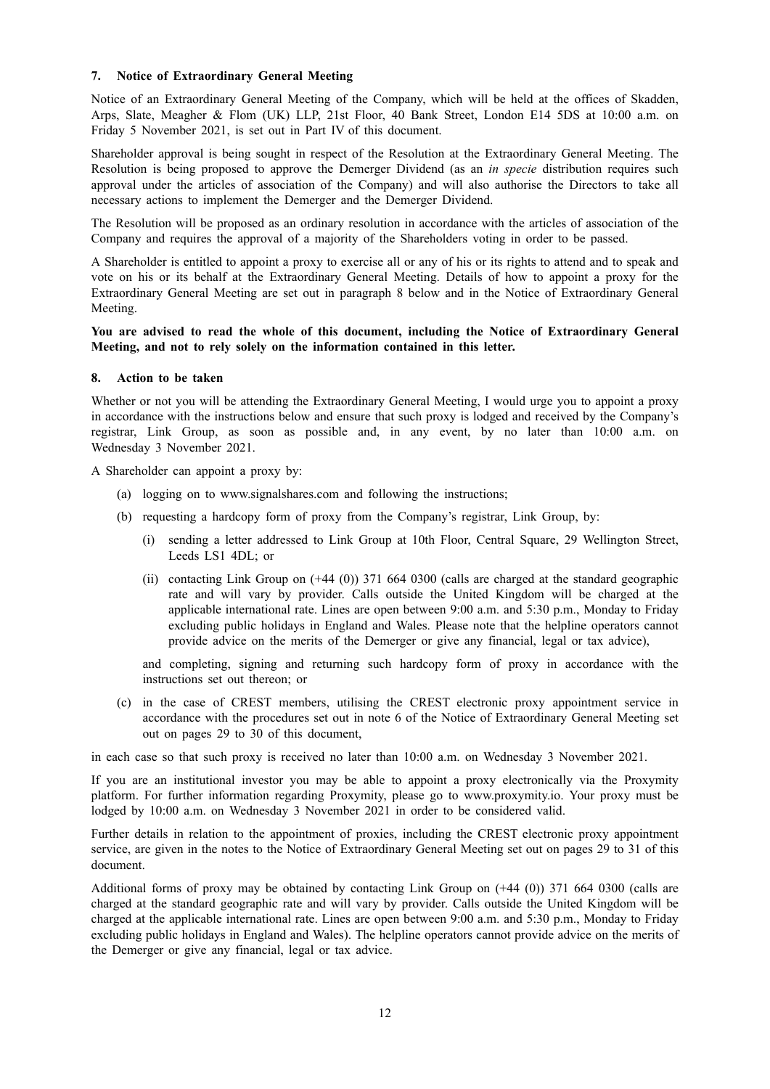## **7. Notice of Extraordinary General Meeting**

Notice of an Extraordinary General Meeting of the Company, which will be held at the offices of Skadden, Arps, Slate, Meagher & Flom (UK) LLP, 21st Floor, 40 Bank Street, London E14 5DS at 10:00 a.m. on Friday 5 November 2021, is set out in Part IV of this document.

Shareholder approval is being sought in respect of the Resolution at the Extraordinary General Meeting. The Resolution is being proposed to approve the Demerger Dividend (as an *in specie* distribution requires such approval under the articles of association of the Company) and will also authorise the Directors to take all necessary actions to implement the Demerger and the Demerger Dividend.

The Resolution will be proposed as an ordinary resolution in accordance with the articles of association of the Company and requires the approval of a majority of the Shareholders voting in order to be passed.

A Shareholder is entitled to appoint a proxy to exercise all or any of his or its rights to attend and to speak and vote on his or its behalf at the Extraordinary General Meeting. Details of how to appoint a proxy for the Extraordinary General Meeting are set out in paragraph 8 below and in the Notice of Extraordinary General Meeting.

## **You are advised to read the whole of this document, including the Notice of Extraordinary General Meeting, and not to rely solely on the information contained in this letter.**

## **8. Action to be taken**

Whether or not you will be attending the Extraordinary General Meeting, I would urge you to appoint a proxy in accordance with the instructions below and ensure that such proxy is lodged and received by the Company's registrar, Link Group, as soon as possible and, in any event, by no later than 10:00 a.m. on Wednesday 3 November 2021.

A Shareholder can appoint a proxy by:

- (a) logging on to www.signalshares.com and following the instructions;
- (b) requesting a hardcopy form of proxy from the Company's registrar, Link Group, by:
	- (i) sending a letter addressed to Link Group at 10th Floor, Central Square, 29 Wellington Street, Leeds LS1 4DL; or
	- (ii) contacting Link Group on  $(+44 (0))$  371 664 0300 (calls are charged at the standard geographic rate and will vary by provider. Calls outside the United Kingdom will be charged at the applicable international rate. Lines are open between 9:00 a.m. and 5:30 p.m., Monday to Friday excluding public holidays in England and Wales. Please note that the helpline operators cannot provide advice on the merits of the Demerger or give any financial, legal or tax advice),

and completing, signing and returning such hardcopy form of proxy in accordance with the instructions set out thereon; or

(c) in the case of CREST members, utilising the CREST electronic proxy appointment service in accordance with the procedures set out in note 6 of the Notice of Extraordinary General Meeting set out on pages 29 to 30 of this document,

in each case so that such proxy is received no later than 10:00 a.m. on Wednesday 3 November 2021.

If you are an institutional investor you may be able to appoint a proxy electronically via the Proxymity platform. For further information regarding Proxymity, please go to www.proxymity.io. Your proxy must be lodged by 10:00 a.m. on Wednesday 3 November 2021 in order to be considered valid.

Further details in relation to the appointment of proxies, including the CREST electronic proxy appointment service, are given in the notes to the Notice of Extraordinary General Meeting set out on pages 29 to 31 of this document.

Additional forms of proxy may be obtained by contacting Link Group on (+44 (0)) 371 664 0300 (calls are charged at the standard geographic rate and will vary by provider. Calls outside the United Kingdom will be charged at the applicable international rate. Lines are open between 9:00 a.m. and 5:30 p.m., Monday to Friday excluding public holidays in England and Wales). The helpline operators cannot provide advice on the merits of the Demerger or give any financial, legal or tax advice.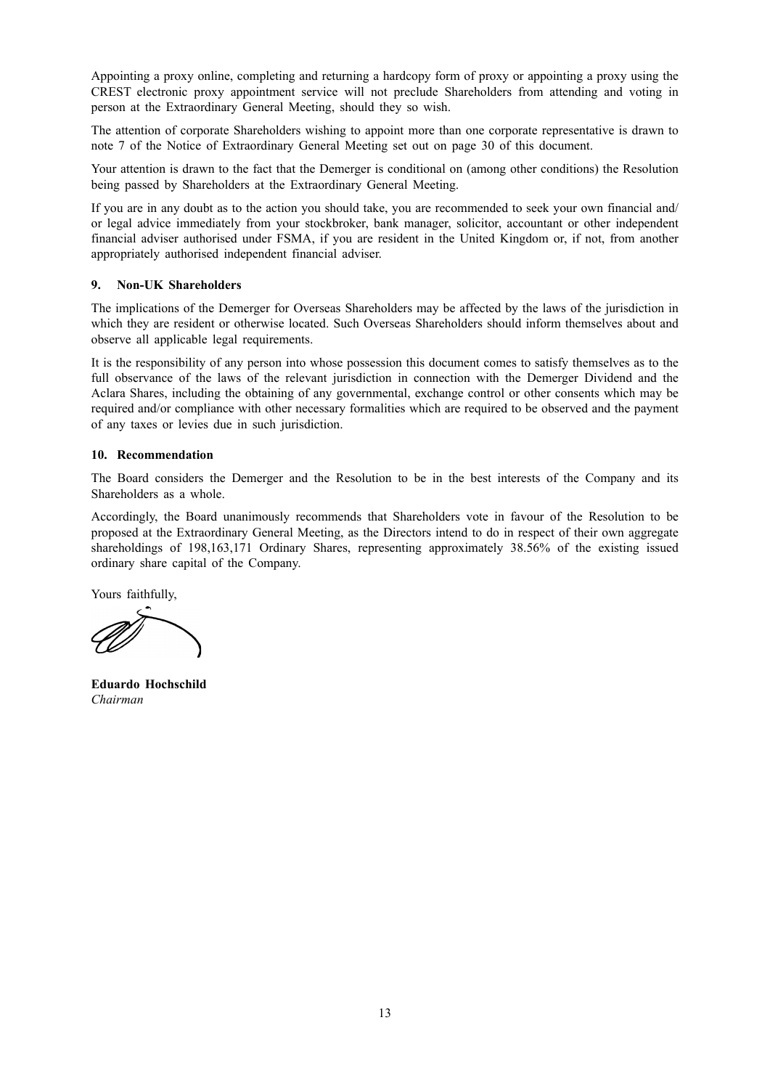Appointing a proxy online, completing and returning a hardcopy form of proxy or appointing a proxy using the CREST electronic proxy appointment service will not preclude Shareholders from attending and voting in person at the Extraordinary General Meeting, should they so wish.

The attention of corporate Shareholders wishing to appoint more than one corporate representative is drawn to note 7 of the Notice of Extraordinary General Meeting set out on page 30 of this document.

Your attention is drawn to the fact that the Demerger is conditional on (among other conditions) the Resolution being passed by Shareholders at the Extraordinary General Meeting.

If you are in any doubt as to the action you should take, you are recommended to seek your own financial and/ or legal advice immediately from your stockbroker, bank manager, solicitor, accountant or other independent financial adviser authorised under FSMA, if you are resident in the United Kingdom or, if not, from another appropriately authorised independent financial adviser.

## **9. Non-UK Shareholders**

The implications of the Demerger for Overseas Shareholders may be affected by the laws of the jurisdiction in which they are resident or otherwise located. Such Overseas Shareholders should inform themselves about and observe all applicable legal requirements.

It is the responsibility of any person into whose possession this document comes to satisfy themselves as to the full observance of the laws of the relevant jurisdiction in connection with the Demerger Dividend and the Aclara Shares, including the obtaining of any governmental, exchange control or other consents which may be required and/or compliance with other necessary formalities which are required to be observed and the payment of any taxes or levies due in such jurisdiction.

## **10. Recommendation**

The Board considers the Demerger and the Resolution to be in the best interests of the Company and its Shareholders as a whole.

Accordingly, the Board unanimously recommends that Shareholders vote in favour of the Resolution to be proposed at the Extraordinary General Meeting, as the Directors intend to do in respect of their own aggregate shareholdings of 198,163,171 Ordinary Shares, representing approximately 38.56% of the existing issued ordinary share capital of the Company.

Yours faithfully,

**Eduardo Hochschild** *Chairman*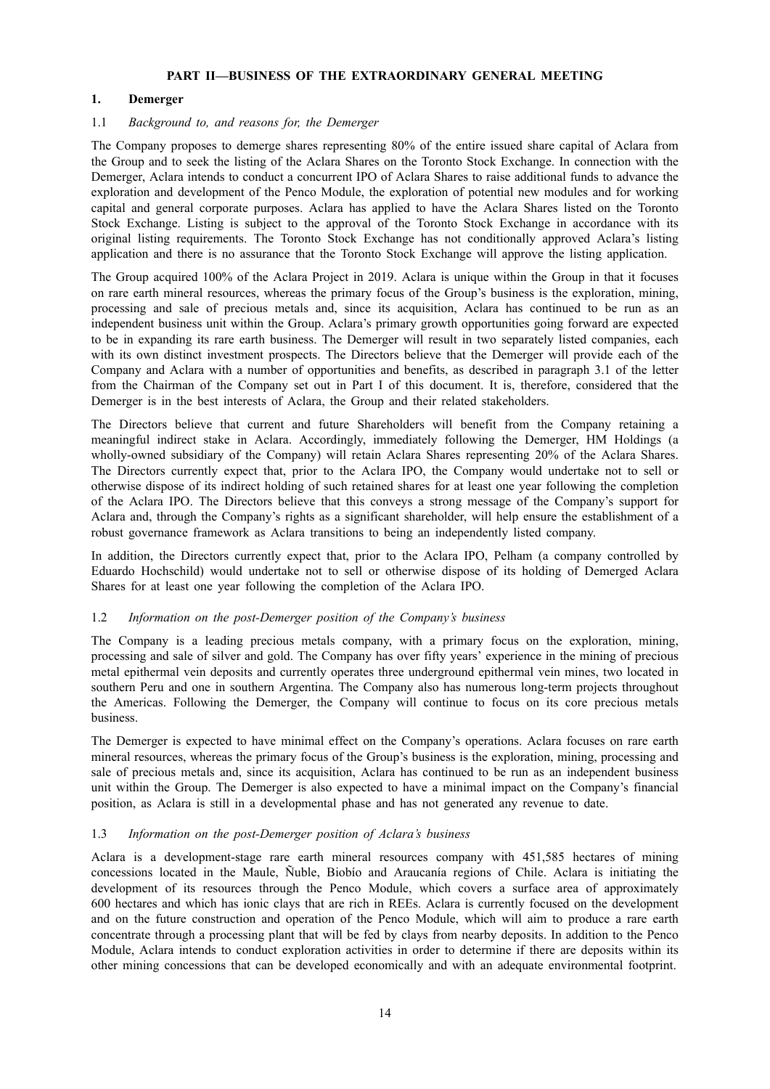## **PART II—BUSINESS OF THE EXTRAORDINARY GENERAL MEETING**

## **1. Demerger**

## 1.1 *Background to, and reasons for, the Demerger*

The Company proposes to demerge shares representing 80% of the entire issued share capital of Aclara from the Group and to seek the listing of the Aclara Shares on the Toronto Stock Exchange. In connection with the Demerger, Aclara intends to conduct a concurrent IPO of Aclara Shares to raise additional funds to advance the exploration and development of the Penco Module, the exploration of potential new modules and for working capital and general corporate purposes. Aclara has applied to have the Aclara Shares listed on the Toronto Stock Exchange. Listing is subject to the approval of the Toronto Stock Exchange in accordance with its original listing requirements. The Toronto Stock Exchange has not conditionally approved Aclara's listing application and there is no assurance that the Toronto Stock Exchange will approve the listing application.

The Group acquired 100% of the Aclara Project in 2019. Aclara is unique within the Group in that it focuses on rare earth mineral resources, whereas the primary focus of the Group's business is the exploration, mining, processing and sale of precious metals and, since its acquisition, Aclara has continued to be run as an independent business unit within the Group. Aclara's primary growth opportunities going forward are expected to be in expanding its rare earth business. The Demerger will result in two separately listed companies, each with its own distinct investment prospects. The Directors believe that the Demerger will provide each of the Company and Aclara with a number of opportunities and benefits, as described in paragraph 3.1 of the letter from the Chairman of the Company set out in Part I of this document. It is, therefore, considered that the Demerger is in the best interests of Aclara, the Group and their related stakeholders.

The Directors believe that current and future Shareholders will benefit from the Company retaining a meaningful indirect stake in Aclara. Accordingly, immediately following the Demerger, HM Holdings (a wholly-owned subsidiary of the Company) will retain Aclara Shares representing 20% of the Aclara Shares. The Directors currently expect that, prior to the Aclara IPO, the Company would undertake not to sell or otherwise dispose of its indirect holding of such retained shares for at least one year following the completion of the Aclara IPO. The Directors believe that this conveys a strong message of the Company's support for Aclara and, through the Company's rights as a significant shareholder, will help ensure the establishment of a robust governance framework as Aclara transitions to being an independently listed company.

In addition, the Directors currently expect that, prior to the Aclara IPO, Pelham (a company controlled by Eduardo Hochschild) would undertake not to sell or otherwise dispose of its holding of Demerged Aclara Shares for at least one year following the completion of the Aclara IPO.

## 1.2 *Information on the post-Demerger position of the Company's business*

The Company is a leading precious metals company, with a primary focus on the exploration, mining, processing and sale of silver and gold. The Company has over fifty years' experience in the mining of precious metal epithermal vein deposits and currently operates three underground epithermal vein mines, two located in southern Peru and one in southern Argentina. The Company also has numerous long-term projects throughout the Americas. Following the Demerger, the Company will continue to focus on its core precious metals business.

The Demerger is expected to have minimal effect on the Company's operations. Aclara focuses on rare earth mineral resources, whereas the primary focus of the Group's business is the exploration, mining, processing and sale of precious metals and, since its acquisition, Aclara has continued to be run as an independent business unit within the Group. The Demerger is also expected to have a minimal impact on the Company's financial position, as Aclara is still in a developmental phase and has not generated any revenue to date.

## 1.3 *Information on the post-Demerger position of Aclara's business*

Aclara is a development-stage rare earth mineral resources company with 451,585 hectares of mining concessions located in the Maule, Ñuble, Biobío and Araucanía regions of Chile. Aclara is initiating the development of its resources through the Penco Module, which covers a surface area of approximately 600 hectares and which has ionic clays that are rich in REEs. Aclara is currently focused on the development and on the future construction and operation of the Penco Module, which will aim to produce a rare earth concentrate through a processing plant that will be fed by clays from nearby deposits. In addition to the Penco Module, Aclara intends to conduct exploration activities in order to determine if there are deposits within its other mining concessions that can be developed economically and with an adequate environmental footprint.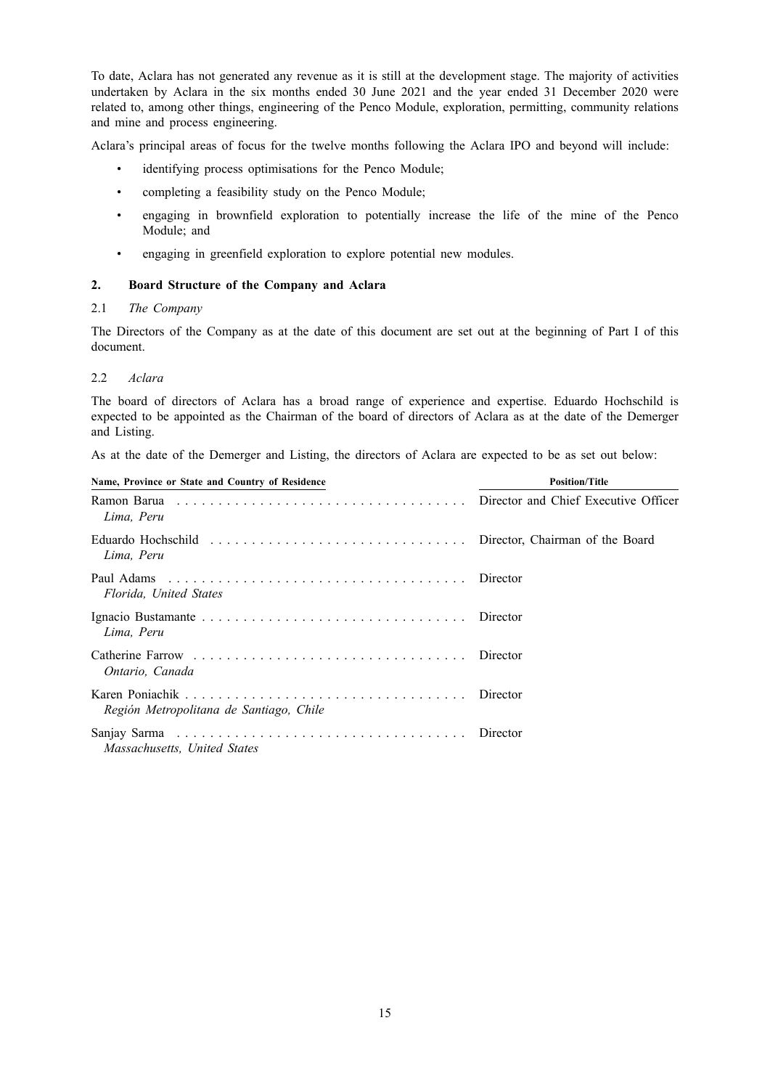To date, Aclara has not generated any revenue as it is still at the development stage. The majority of activities undertaken by Aclara in the six months ended 30 June 2021 and the year ended 31 December 2020 were related to, among other things, engineering of the Penco Module, exploration, permitting, community relations and mine and process engineering.

Aclara's principal areas of focus for the twelve months following the Aclara IPO and beyond will include:

- identifying process optimisations for the Penco Module;
- completing a feasibility study on the Penco Module;
- engaging in brownfield exploration to potentially increase the life of the mine of the Penco Module; and
- engaging in greenfield exploration to explore potential new modules.

## **2. Board Structure of the Company and Aclara**

## 2.1 *The Company*

The Directors of the Company as at the date of this document are set out at the beginning of Part I of this document.

## 2.2 *Aclara*

The board of directors of Aclara has a broad range of experience and expertise. Eduardo Hochschild is expected to be appointed as the Chairman of the board of directors of Aclara as at the date of the Demerger and Listing.

As at the date of the Demerger and Listing, the directors of Aclara are expected to be as set out below:

| Name, Province or State and Country of Residence | <b>Position/Title</b> |  |
|--------------------------------------------------|-----------------------|--|
| Lima. Peru                                       |                       |  |
| Lima, Peru                                       |                       |  |
| Florida. United States                           |                       |  |
| Lima, Peru                                       | Director              |  |
| Ontario, Canada                                  |                       |  |
| Región Metropolitana de Santiago, Chile          | Director              |  |
| Massachusetts, United States                     |                       |  |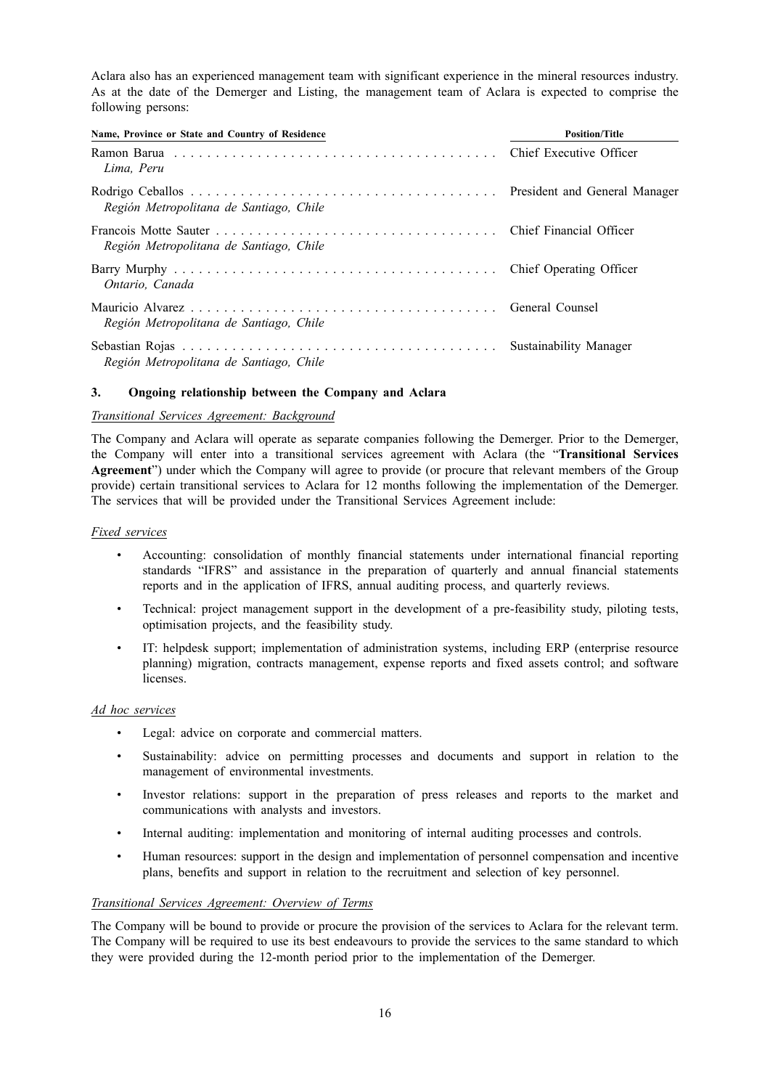Aclara also has an experienced management team with significant experience in the mineral resources industry. As at the date of the Demerger and Listing, the management team of Aclara is expected to comprise the following persons:

| Name, Province or State and Country of Residence | <b>Position/Title</b> |  |
|--------------------------------------------------|-----------------------|--|
| Lima, Peru                                       |                       |  |
| Región Metropolitana de Santiago, Chile          |                       |  |
| Región Metropolitana de Santiago, Chile          |                       |  |
| Ontario. Canada                                  |                       |  |
| Región Metropolitana de Santiago, Chile          |                       |  |
| Región Metropolitana de Santiago, Chile          |                       |  |

## **3. Ongoing relationship between the Company and Aclara**

## *Transitional Services Agreement: Background*

The Company and Aclara will operate as separate companies following the Demerger. Prior to the Demerger, the Company will enter into a transitional services agreement with Aclara (the "**Transitional Services Agreement**") under which the Company will agree to provide (or procure that relevant members of the Group provide) certain transitional services to Aclara for 12 months following the implementation of the Demerger. The services that will be provided under the Transitional Services Agreement include:

## *Fixed services*

- Accounting: consolidation of monthly financial statements under international financial reporting standards "IFRS" and assistance in the preparation of quarterly and annual financial statements reports and in the application of IFRS, annual auditing process, and quarterly reviews.
- Technical: project management support in the development of a pre-feasibility study, piloting tests, optimisation projects, and the feasibility study.
- IT: helpdesk support; implementation of administration systems, including ERP (enterprise resource planning) migration, contracts management, expense reports and fixed assets control; and software **licenses**

## *Ad hoc services*

- Legal: advice on corporate and commercial matters.
- Sustainability: advice on permitting processes and documents and support in relation to the management of environmental investments.
- Investor relations: support in the preparation of press releases and reports to the market and communications with analysts and investors.
- Internal auditing: implementation and monitoring of internal auditing processes and controls.
- Human resources: support in the design and implementation of personnel compensation and incentive plans, benefits and support in relation to the recruitment and selection of key personnel.

## *Transitional Services Agreement: Overview of Terms*

The Company will be bound to provide or procure the provision of the services to Aclara for the relevant term. The Company will be required to use its best endeavours to provide the services to the same standard to which they were provided during the 12-month period prior to the implementation of the Demerger.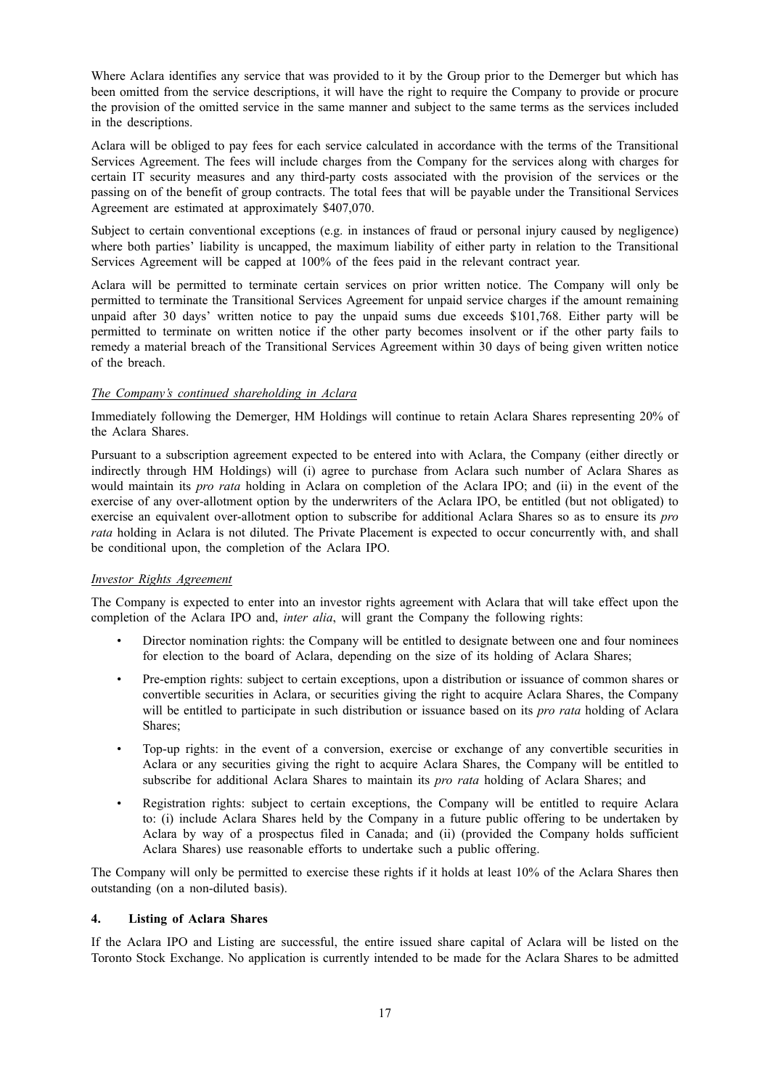Where Aclara identifies any service that was provided to it by the Group prior to the Demerger but which has been omitted from the service descriptions, it will have the right to require the Company to provide or procure the provision of the omitted service in the same manner and subject to the same terms as the services included in the descriptions.

Aclara will be obliged to pay fees for each service calculated in accordance with the terms of the Transitional Services Agreement. The fees will include charges from the Company for the services along with charges for certain IT security measures and any third-party costs associated with the provision of the services or the passing on of the benefit of group contracts. The total fees that will be payable under the Transitional Services Agreement are estimated at approximately \$407,070.

Subject to certain conventional exceptions (e.g. in instances of fraud or personal injury caused by negligence) where both parties' liability is uncapped, the maximum liability of either party in relation to the Transitional Services Agreement will be capped at 100% of the fees paid in the relevant contract year.

Aclara will be permitted to terminate certain services on prior written notice. The Company will only be permitted to terminate the Transitional Services Agreement for unpaid service charges if the amount remaining unpaid after 30 days' written notice to pay the unpaid sums due exceeds \$101,768. Either party will be permitted to terminate on written notice if the other party becomes insolvent or if the other party fails to remedy a material breach of the Transitional Services Agreement within 30 days of being given written notice of the breach.

## *The Company's continued shareholding in Aclara*

Immediately following the Demerger, HM Holdings will continue to retain Aclara Shares representing 20% of the Aclara Shares.

Pursuant to a subscription agreement expected to be entered into with Aclara, the Company (either directly or indirectly through HM Holdings) will (i) agree to purchase from Aclara such number of Aclara Shares as would maintain its *pro rata* holding in Aclara on completion of the Aclara IPO; and (ii) in the event of the exercise of any over-allotment option by the underwriters of the Aclara IPO, be entitled (but not obligated) to exercise an equivalent over-allotment option to subscribe for additional Aclara Shares so as to ensure its *pro rata* holding in Aclara is not diluted. The Private Placement is expected to occur concurrently with, and shall be conditional upon, the completion of the Aclara IPO.

## *Investor Rights Agreement*

The Company is expected to enter into an investor rights agreement with Aclara that will take effect upon the completion of the Aclara IPO and, *inter alia*, will grant the Company the following rights:

- Director nomination rights: the Company will be entitled to designate between one and four nominees for election to the board of Aclara, depending on the size of its holding of Aclara Shares;
- Pre-emption rights: subject to certain exceptions, upon a distribution or issuance of common shares or convertible securities in Aclara, or securities giving the right to acquire Aclara Shares, the Company will be entitled to participate in such distribution or issuance based on its *pro rata* holding of Aclara Shares;
- Top-up rights: in the event of a conversion, exercise or exchange of any convertible securities in Aclara or any securities giving the right to acquire Aclara Shares, the Company will be entitled to subscribe for additional Aclara Shares to maintain its *pro rata* holding of Aclara Shares; and
- Registration rights: subject to certain exceptions, the Company will be entitled to require Aclara to: (i) include Aclara Shares held by the Company in a future public offering to be undertaken by Aclara by way of a prospectus filed in Canada; and (ii) (provided the Company holds sufficient Aclara Shares) use reasonable efforts to undertake such a public offering.

The Company will only be permitted to exercise these rights if it holds at least 10% of the Aclara Shares then outstanding (on a non-diluted basis).

## **4. Listing of Aclara Shares**

If the Aclara IPO and Listing are successful, the entire issued share capital of Aclara will be listed on the Toronto Stock Exchange. No application is currently intended to be made for the Aclara Shares to be admitted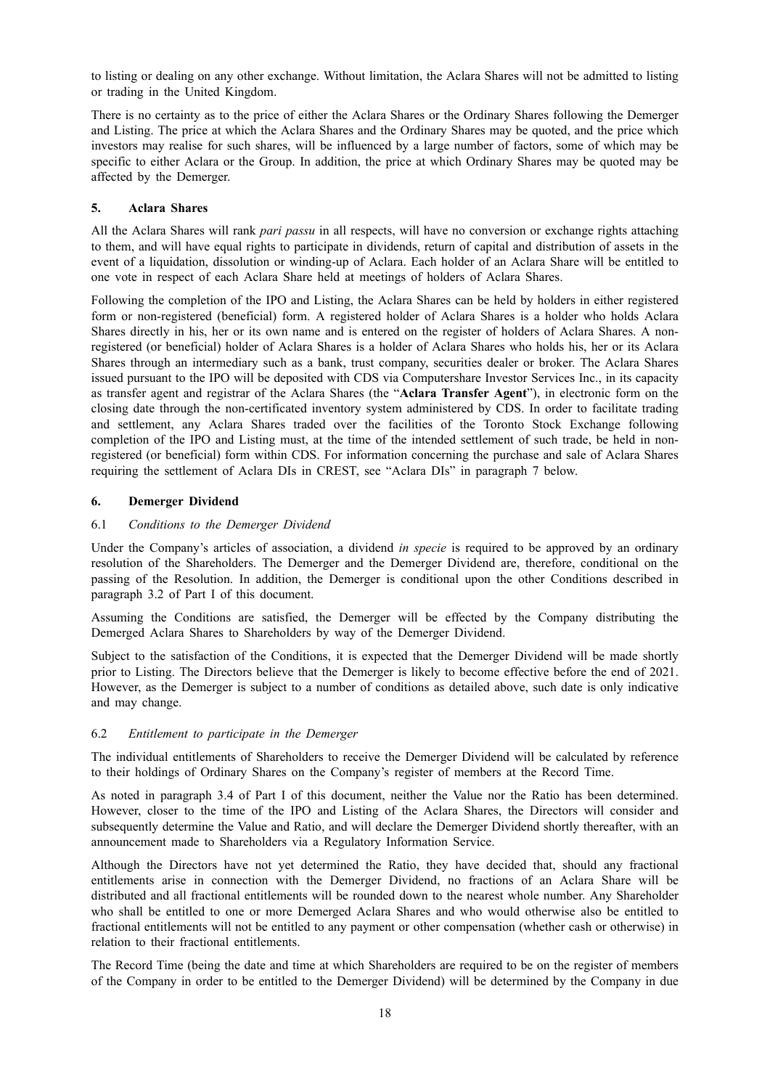to listing or dealing on any other exchange. Without limitation, the Aclara Shares will not be admitted to listing or trading in the United Kingdom.

There is no certainty as to the price of either the Aclara Shares or the Ordinary Shares following the Demerger and Listing. The price at which the Aclara Shares and the Ordinary Shares may be quoted, and the price which investors may realise for such shares, will be influenced by a large number of factors, some of which may be specific to either Aclara or the Group. In addition, the price at which Ordinary Shares may be quoted may be affected by the Demerger.

## **5. Aclara Shares**

All the Aclara Shares will rank *pari passu* in all respects, will have no conversion or exchange rights attaching to them, and will have equal rights to participate in dividends, return of capital and distribution of assets in the event of a liquidation, dissolution or winding-up of Aclara. Each holder of an Aclara Share will be entitled to one vote in respect of each Aclara Share held at meetings of holders of Aclara Shares.

Following the completion of the IPO and Listing, the Aclara Shares can be held by holders in either registered form or non-registered (beneficial) form. A registered holder of Aclara Shares is a holder who holds Aclara Shares directly in his, her or its own name and is entered on the register of holders of Aclara Shares. A nonregistered (or beneficial) holder of Aclara Shares is a holder of Aclara Shares who holds his, her or its Aclara Shares through an intermediary such as a bank, trust company, securities dealer or broker. The Aclara Shares issued pursuant to the IPO will be deposited with CDS via Computershare Investor Services Inc., in its capacity as transfer agent and registrar of the Aclara Shares (the "**Aclara Transfer Agent**"), in electronic form on the closing date through the non-certificated inventory system administered by CDS. In order to facilitate trading and settlement, any Aclara Shares traded over the facilities of the Toronto Stock Exchange following completion of the IPO and Listing must, at the time of the intended settlement of such trade, be held in nonregistered (or beneficial) form within CDS. For information concerning the purchase and sale of Aclara Shares requiring the settlement of Aclara DIs in CREST, see "Aclara DIs" in paragraph 7 below.

## **6. Demerger Dividend**

## 6.1 *Conditions to the Demerger Dividend*

Under the Company's articles of association, a dividend *in specie* is required to be approved by an ordinary resolution of the Shareholders. The Demerger and the Demerger Dividend are, therefore, conditional on the passing of the Resolution. In addition, the Demerger is conditional upon the other Conditions described in paragraph 3.2 of Part I of this document.

Assuming the Conditions are satisfied, the Demerger will be effected by the Company distributing the Demerged Aclara Shares to Shareholders by way of the Demerger Dividend.

Subject to the satisfaction of the Conditions, it is expected that the Demerger Dividend will be made shortly prior to Listing. The Directors believe that the Demerger is likely to become effective before the end of 2021. However, as the Demerger is subject to a number of conditions as detailed above, such date is only indicative and may change.

## 6.2 *Entitlement to participate in the Demerger*

The individual entitlements of Shareholders to receive the Demerger Dividend will be calculated by reference to their holdings of Ordinary Shares on the Company's register of members at the Record Time.

As noted in paragraph 3.4 of Part I of this document, neither the Value nor the Ratio has been determined. However, closer to the time of the IPO and Listing of the Aclara Shares, the Directors will consider and subsequently determine the Value and Ratio, and will declare the Demerger Dividend shortly thereafter, with an announcement made to Shareholders via a Regulatory Information Service.

Although the Directors have not yet determined the Ratio, they have decided that, should any fractional entitlements arise in connection with the Demerger Dividend, no fractions of an Aclara Share will be distributed and all fractional entitlements will be rounded down to the nearest whole number. Any Shareholder who shall be entitled to one or more Demerged Aclara Shares and who would otherwise also be entitled to fractional entitlements will not be entitled to any payment or other compensation (whether cash or otherwise) in relation to their fractional entitlements.

The Record Time (being the date and time at which Shareholders are required to be on the register of members of the Company in order to be entitled to the Demerger Dividend) will be determined by the Company in due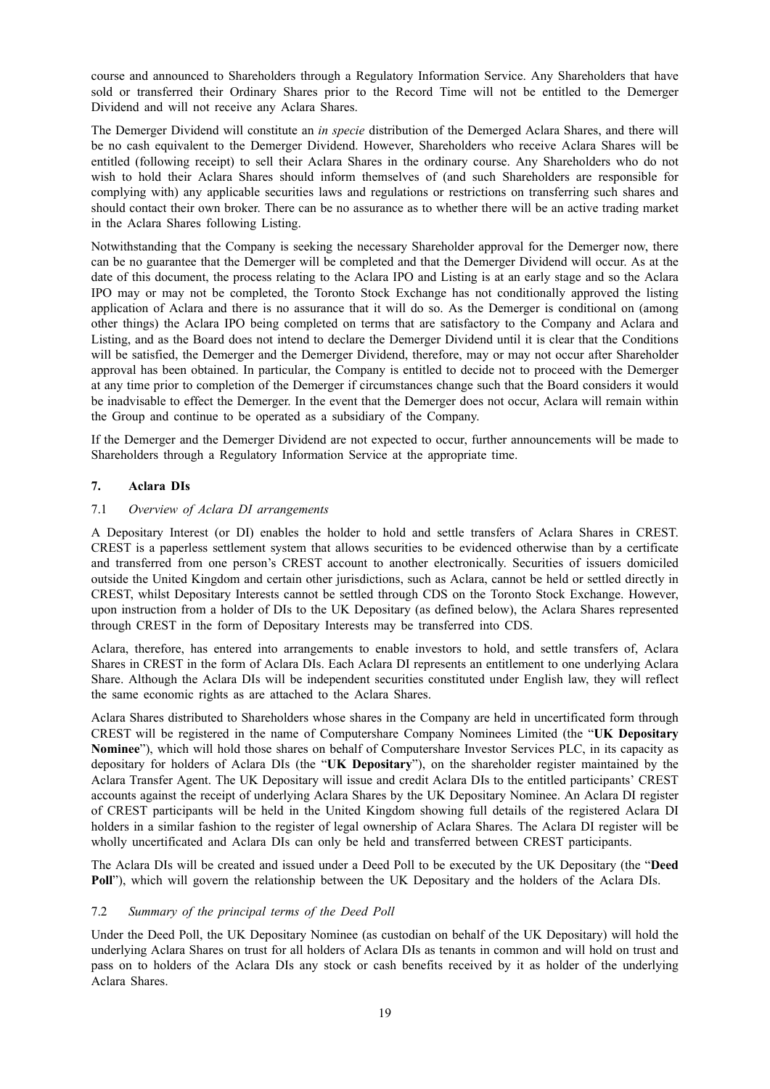course and announced to Shareholders through a Regulatory Information Service. Any Shareholders that have sold or transferred their Ordinary Shares prior to the Record Time will not be entitled to the Demerger Dividend and will not receive any Aclara Shares.

The Demerger Dividend will constitute an *in specie* distribution of the Demerged Aclara Shares, and there will be no cash equivalent to the Demerger Dividend. However, Shareholders who receive Aclara Shares will be entitled (following receipt) to sell their Aclara Shares in the ordinary course. Any Shareholders who do not wish to hold their Aclara Shares should inform themselves of (and such Shareholders are responsible for complying with) any applicable securities laws and regulations or restrictions on transferring such shares and should contact their own broker. There can be no assurance as to whether there will be an active trading market in the Aclara Shares following Listing.

Notwithstanding that the Company is seeking the necessary Shareholder approval for the Demerger now, there can be no guarantee that the Demerger will be completed and that the Demerger Dividend will occur. As at the date of this document, the process relating to the Aclara IPO and Listing is at an early stage and so the Aclara IPO may or may not be completed, the Toronto Stock Exchange has not conditionally approved the listing application of Aclara and there is no assurance that it will do so. As the Demerger is conditional on (among other things) the Aclara IPO being completed on terms that are satisfactory to the Company and Aclara and Listing, and as the Board does not intend to declare the Demerger Dividend until it is clear that the Conditions will be satisfied, the Demerger and the Demerger Dividend, therefore, may or may not occur after Shareholder approval has been obtained. In particular, the Company is entitled to decide not to proceed with the Demerger at any time prior to completion of the Demerger if circumstances change such that the Board considers it would be inadvisable to effect the Demerger. In the event that the Demerger does not occur, Aclara will remain within the Group and continue to be operated as a subsidiary of the Company.

If the Demerger and the Demerger Dividend are not expected to occur, further announcements will be made to Shareholders through a Regulatory Information Service at the appropriate time.

## **7. Aclara DIs**

## 7.1 *Overview of Aclara DI arrangements*

A Depositary Interest (or DI) enables the holder to hold and settle transfers of Aclara Shares in CREST. CREST is a paperless settlement system that allows securities to be evidenced otherwise than by a certificate and transferred from one person's CREST account to another electronically. Securities of issuers domiciled outside the United Kingdom and certain other jurisdictions, such as Aclara, cannot be held or settled directly in CREST, whilst Depositary Interests cannot be settled through CDS on the Toronto Stock Exchange. However, upon instruction from a holder of DIs to the UK Depositary (as defined below), the Aclara Shares represented through CREST in the form of Depositary Interests may be transferred into CDS.

Aclara, therefore, has entered into arrangements to enable investors to hold, and settle transfers of, Aclara Shares in CREST in the form of Aclara DIs. Each Aclara DI represents an entitlement to one underlying Aclara Share. Although the Aclara DIs will be independent securities constituted under English law, they will reflect the same economic rights as are attached to the Aclara Shares.

Aclara Shares distributed to Shareholders whose shares in the Company are held in uncertificated form through CREST will be registered in the name of Computershare Company Nominees Limited (the "**UK Depositary Nominee**"), which will hold those shares on behalf of Computershare Investor Services PLC, in its capacity as depositary for holders of Aclara DIs (the "**UK Depositary**"), on the shareholder register maintained by the Aclara Transfer Agent. The UK Depositary will issue and credit Aclara DIs to the entitled participants' CREST accounts against the receipt of underlying Aclara Shares by the UK Depositary Nominee. An Aclara DI register of CREST participants will be held in the United Kingdom showing full details of the registered Aclara DI holders in a similar fashion to the register of legal ownership of Aclara Shares. The Aclara DI register will be wholly uncertificated and Aclara DIs can only be held and transferred between CREST participants.

The Aclara DIs will be created and issued under a Deed Poll to be executed by the UK Depositary (the "**Deed Poll**"), which will govern the relationship between the UK Depositary and the holders of the Aclara DIs.

## 7.2 *Summary of the principal terms of the Deed Poll*

Under the Deed Poll, the UK Depositary Nominee (as custodian on behalf of the UK Depositary) will hold the underlying Aclara Shares on trust for all holders of Aclara DIs as tenants in common and will hold on trust and pass on to holders of the Aclara DIs any stock or cash benefits received by it as holder of the underlying Aclara Shares.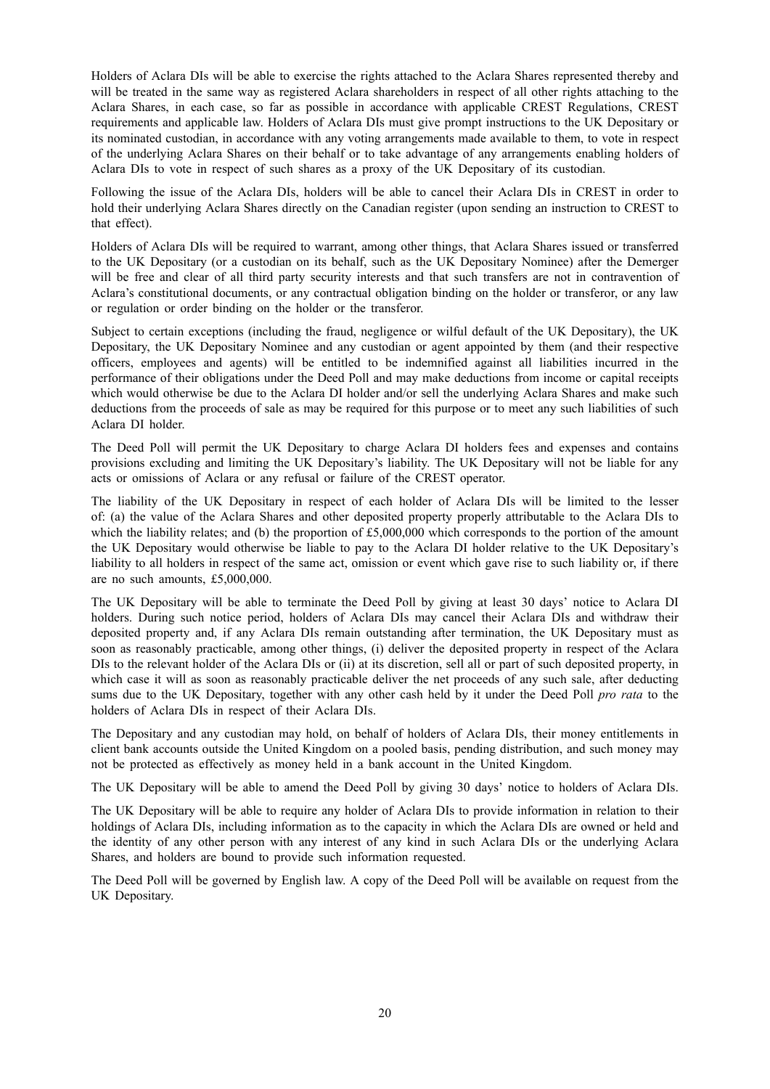Holders of Aclara DIs will be able to exercise the rights attached to the Aclara Shares represented thereby and will be treated in the same way as registered Aclara shareholders in respect of all other rights attaching to the Aclara Shares, in each case, so far as possible in accordance with applicable CREST Regulations, CREST requirements and applicable law. Holders of Aclara DIs must give prompt instructions to the UK Depositary or its nominated custodian, in accordance with any voting arrangements made available to them, to vote in respect of the underlying Aclara Shares on their behalf or to take advantage of any arrangements enabling holders of Aclara DIs to vote in respect of such shares as a proxy of the UK Depositary of its custodian.

Following the issue of the Aclara DIs, holders will be able to cancel their Aclara DIs in CREST in order to hold their underlying Aclara Shares directly on the Canadian register (upon sending an instruction to CREST to that effect).

Holders of Aclara DIs will be required to warrant, among other things, that Aclara Shares issued or transferred to the UK Depositary (or a custodian on its behalf, such as the UK Depositary Nominee) after the Demerger will be free and clear of all third party security interests and that such transfers are not in contravention of Aclara's constitutional documents, or any contractual obligation binding on the holder or transferor, or any law or regulation or order binding on the holder or the transferor.

Subject to certain exceptions (including the fraud, negligence or wilful default of the UK Depositary), the UK Depositary, the UK Depositary Nominee and any custodian or agent appointed by them (and their respective officers, employees and agents) will be entitled to be indemnified against all liabilities incurred in the performance of their obligations under the Deed Poll and may make deductions from income or capital receipts which would otherwise be due to the Aclara DI holder and/or sell the underlying Aclara Shares and make such deductions from the proceeds of sale as may be required for this purpose or to meet any such liabilities of such Aclara DI holder.

The Deed Poll will permit the UK Depositary to charge Aclara DI holders fees and expenses and contains provisions excluding and limiting the UK Depositary's liability. The UK Depositary will not be liable for any acts or omissions of Aclara or any refusal or failure of the CREST operator.

The liability of the UK Depositary in respect of each holder of Aclara DIs will be limited to the lesser of: (a) the value of the Aclara Shares and other deposited property properly attributable to the Aclara DIs to which the liability relates; and (b) the proportion of £5,000,000 which corresponds to the portion of the amount the UK Depositary would otherwise be liable to pay to the Aclara DI holder relative to the UK Depositary's liability to all holders in respect of the same act, omission or event which gave rise to such liability or, if there are no such amounts, £5,000,000.

The UK Depositary will be able to terminate the Deed Poll by giving at least 30 days' notice to Aclara DI holders. During such notice period, holders of Aclara DIs may cancel their Aclara DIs and withdraw their deposited property and, if any Aclara DIs remain outstanding after termination, the UK Depositary must as soon as reasonably practicable, among other things, (i) deliver the deposited property in respect of the Aclara DIs to the relevant holder of the Aclara DIs or (ii) at its discretion, sell all or part of such deposited property, in which case it will as soon as reasonably practicable deliver the net proceeds of any such sale, after deducting sums due to the UK Depositary, together with any other cash held by it under the Deed Poll *pro rata* to the holders of Aclara DIs in respect of their Aclara DIs.

The Depositary and any custodian may hold, on behalf of holders of Aclara DIs, their money entitlements in client bank accounts outside the United Kingdom on a pooled basis, pending distribution, and such money may not be protected as effectively as money held in a bank account in the United Kingdom.

The UK Depositary will be able to amend the Deed Poll by giving 30 days' notice to holders of Aclara DIs.

The UK Depositary will be able to require any holder of Aclara DIs to provide information in relation to their holdings of Aclara DIs, including information as to the capacity in which the Aclara DIs are owned or held and the identity of any other person with any interest of any kind in such Aclara DIs or the underlying Aclara Shares, and holders are bound to provide such information requested.

The Deed Poll will be governed by English law. A copy of the Deed Poll will be available on request from the UK Depositary.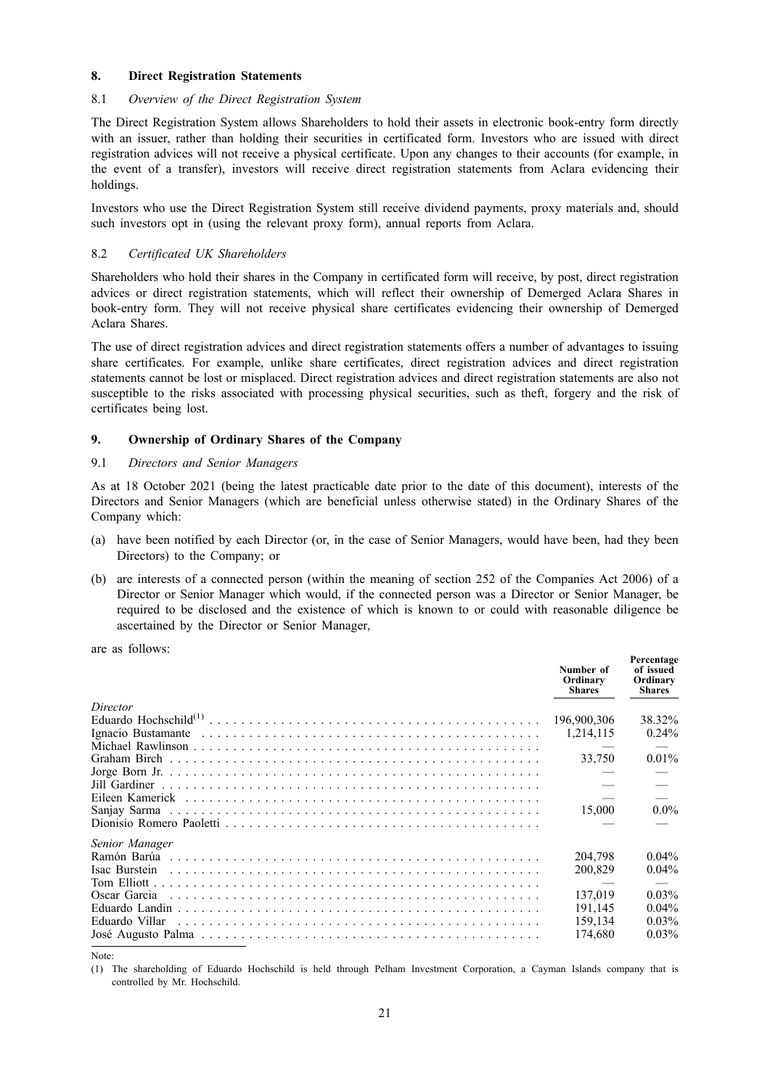## **8. Direct Registration Statements**

## 8.1 *Overview of the Direct Registration System*

The Direct Registration System allows Shareholders to hold their assets in electronic book-entry form directly with an issuer, rather than holding their securities in certificated form. Investors who are issued with direct registration advices will not receive a physical certificate. Upon any changes to their accounts (for example, in the event of a transfer), investors will receive direct registration statements from Aclara evidencing their holdings.

Investors who use the Direct Registration System still receive dividend payments, proxy materials and, should such investors opt in (using the relevant proxy form), annual reports from Aclara.

## 8.2 *Certificated UK Shareholders*

Shareholders who hold their shares in the Company in certificated form will receive, by post, direct registration advices or direct registration statements, which will reflect their ownership of Demerged Aclara Shares in book-entry form. They will not receive physical share certificates evidencing their ownership of Demerged Aclara Shares.

The use of direct registration advices and direct registration statements offers a number of advantages to issuing share certificates. For example, unlike share certificates, direct registration advices and direct registration statements cannot be lost or misplaced. Direct registration advices and direct registration statements are also not susceptible to the risks associated with processing physical securities, such as theft, forgery and the risk of certificates being lost.

## **9. Ownership of Ordinary Shares of the Company**

## 9.1 *Directors and Senior Managers*

As at 18 October 2021 (being the latest practicable date prior to the date of this document), interests of the Directors and Senior Managers (which are beneficial unless otherwise stated) in the Ordinary Shares of the Company which:

- (a) have been notified by each Director (or, in the case of Senior Managers, would have been, had they been Directors) to the Company; or
- (b) are interests of a connected person (within the meaning of section 252 of the Companies Act 2006) of a Director or Senior Manager which would, if the connected person was a Director or Senior Manager, be required to be disclosed and the existence of which is known to or could with reasonable diligence be ascertained by the Director or Senior Manager,

are as follows:

|                | Number of<br>Ordinary<br><b>Shares</b> | Percentage<br>of issued<br>Ordinary<br><b>Shares</b> |
|----------------|----------------------------------------|------------------------------------------------------|
| Director       |                                        |                                                      |
|                | 196,900,306                            | 38.32%                                               |
|                | 1,214,115                              | $0.24\%$                                             |
|                |                                        |                                                      |
|                | 33.750                                 | $0.01\%$                                             |
|                |                                        |                                                      |
|                |                                        |                                                      |
|                |                                        |                                                      |
| Sanjay Sarma   | 15,000                                 | $0.0\%$                                              |
|                |                                        |                                                      |
| Senior Manager |                                        |                                                      |
|                | 204.798                                | $0.04\%$                                             |
| Isac Burstein  | 200,829                                | $0.04\%$                                             |
|                |                                        |                                                      |
| Oscar Garcia   | 137.019                                | $0.03\%$                                             |
|                | 191,145                                | $0.04\%$                                             |
| Eduardo Villar | 159.134                                | $0.03\%$                                             |
|                | 174.680                                | $0.03\%$                                             |

Note:

(1) The shareholding of Eduardo Hochschild is held through Pelham Investment Corporation, a Cayman Islands company that is controlled by Mr. Hochschild.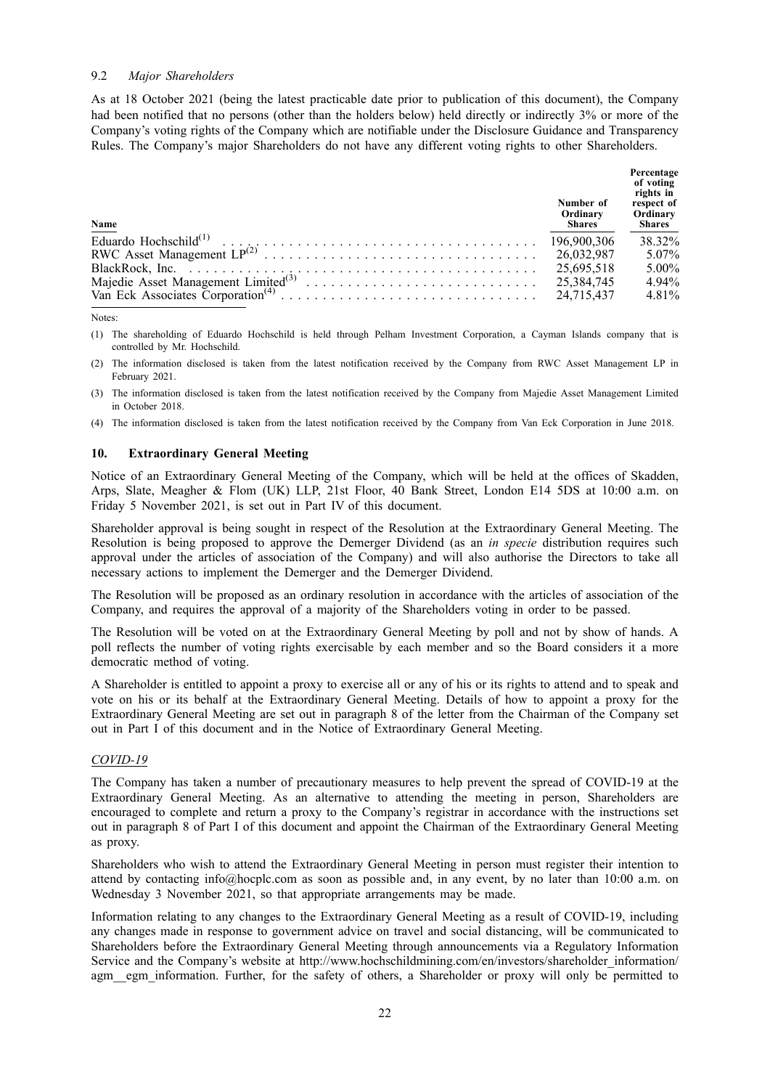## 9.2 *Major Shareholders*

As at 18 October 2021 (being the latest practicable date prior to publication of this document), the Company had been notified that no persons (other than the holders below) held directly or indirectly 3% or more of the Company's voting rights of the Company which are notifiable under the Disclosure Guidance and Transparency Rules. The Company's major Shareholders do not have any different voting rights to other Shareholders.

| Name | Number of<br>Ordinary<br><b>Shares</b> | Percentage<br>of voting<br>rights in<br>respect of<br>Ordinary<br><b>Shares</b> |
|------|----------------------------------------|---------------------------------------------------------------------------------|
|      |                                        | 38 32%                                                                          |
|      |                                        | 5.07%                                                                           |
|      | 25.695.518                             | $5.00\%$                                                                        |
|      |                                        | 4.94%                                                                           |
|      |                                        | 4 8 1 %                                                                         |

Notes:

(1) The shareholding of Eduardo Hochschild is held through Pelham Investment Corporation, a Cayman Islands company that is controlled by Mr. Hochschild.

(2) The information disclosed is taken from the latest notification received by the Company from RWC Asset Management LP in February 2021.

(3) The information disclosed is taken from the latest notification received by the Company from Majedie Asset Management Limited in October 2018.

(4) The information disclosed is taken from the latest notification received by the Company from Van Eck Corporation in June 2018.

#### **10. Extraordinary General Meeting**

Notice of an Extraordinary General Meeting of the Company, which will be held at the offices of Skadden, Arps, Slate, Meagher & Flom (UK) LLP, 21st Floor, 40 Bank Street, London E14 5DS at 10:00 a.m. on Friday 5 November 2021, is set out in Part IV of this document.

Shareholder approval is being sought in respect of the Resolution at the Extraordinary General Meeting. The Resolution is being proposed to approve the Demerger Dividend (as an *in specie* distribution requires such approval under the articles of association of the Company) and will also authorise the Directors to take all necessary actions to implement the Demerger and the Demerger Dividend.

The Resolution will be proposed as an ordinary resolution in accordance with the articles of association of the Company, and requires the approval of a majority of the Shareholders voting in order to be passed.

The Resolution will be voted on at the Extraordinary General Meeting by poll and not by show of hands. A poll reflects the number of voting rights exercisable by each member and so the Board considers it a more democratic method of voting.

A Shareholder is entitled to appoint a proxy to exercise all or any of his or its rights to attend and to speak and vote on his or its behalf at the Extraordinary General Meeting. Details of how to appoint a proxy for the Extraordinary General Meeting are set out in paragraph 8 of the letter from the Chairman of the Company set out in Part I of this document and in the Notice of Extraordinary General Meeting.

## *COVID-19*

The Company has taken a number of precautionary measures to help prevent the spread of COVID-19 at the Extraordinary General Meeting. As an alternative to attending the meeting in person, Shareholders are encouraged to complete and return a proxy to the Company's registrar in accordance with the instructions set out in paragraph 8 of Part I of this document and appoint the Chairman of the Extraordinary General Meeting as proxy.

Shareholders who wish to attend the Extraordinary General Meeting in person must register their intention to attend by contacting info@hocplc.com as soon as possible and, in any event, by no later than 10:00 a.m. on Wednesday 3 November 2021, so that appropriate arrangements may be made.

Information relating to any changes to the Extraordinary General Meeting as a result of COVID-19, including any changes made in response to government advice on travel and social distancing, will be communicated to Shareholders before the Extraordinary General Meeting through announcements via a Regulatory Information Service and the Company's website at http://www.hochschildmining.com/en/investors/shareholder\_information/ agm egm information. Further, for the safety of others, a Shareholder or proxy will only be permitted to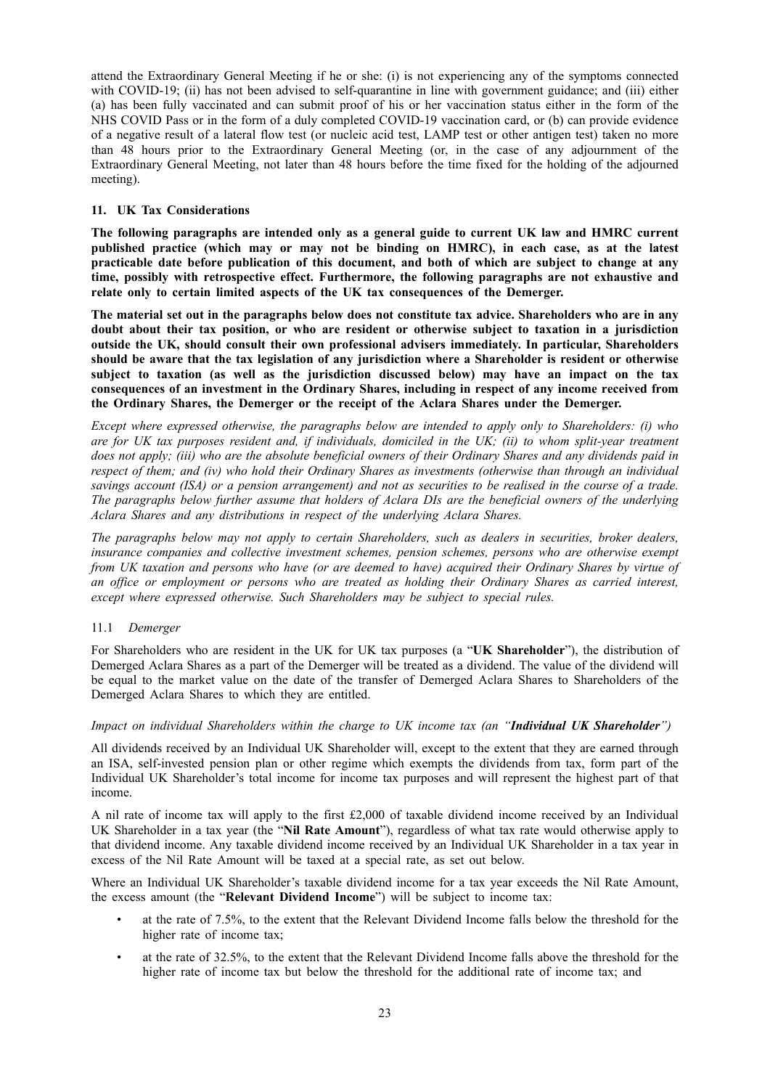attend the Extraordinary General Meeting if he or she: (i) is not experiencing any of the symptoms connected with COVID-19; (ii) has not been advised to self-quarantine in line with government guidance; and (iii) either (a) has been fully vaccinated and can submit proof of his or her vaccination status either in the form of the NHS COVID Pass or in the form of a duly completed COVID-19 vaccination card, or (b) can provide evidence of a negative result of a lateral flow test (or nucleic acid test, LAMP test or other antigen test) taken no more than 48 hours prior to the Extraordinary General Meeting (or, in the case of any adjournment of the Extraordinary General Meeting, not later than 48 hours before the time fixed for the holding of the adjourned meeting).

## **11. UK Tax Considerations**

**The following paragraphs are intended only as a general guide to current UK law and HMRC current published practice (which may or may not be binding on HMRC), in each case, as at the latest practicable date before publication of this document, and both of which are subject to change at any time, possibly with retrospective effect. Furthermore, the following paragraphs are not exhaustive and relate only to certain limited aspects of the UK tax consequences of the Demerger.**

The material set out in the paragraphs below does not constitute tax advice. Shareholders who are in any **doubt about their tax position, or who are resident or otherwise subject to taxation in a jurisdiction outside the UK, should consult their own professional advisers immediately. In particular, Shareholders should be aware that the tax legislation of any jurisdiction where a Shareholder is resident or otherwise subject to taxation (as well as the jurisdiction discussed below) may have an impact on the tax consequences of an investment in the Ordinary Shares, including in respect of any income received from the Ordinary Shares, the Demerger or the receipt of the Aclara Shares under the Demerger.**

*Except where expressed otherwise, the paragraphs below are intended to apply only to Shareholders: (i) who* are for UK tax purposes resident and, if individuals, domiciled in the UK; (ii) to whom split-year treatment does not apply; (iii) who are the absolute beneficial owners of their Ordinary Shares and any dividends paid in respect of them; and (iv) who hold their Ordinary Shares as investments (otherwise than through an individual savings account (ISA) or a pension arrangement) and not as securities to be realised in the course of a trade. The paragraphs below further assume that holders of Aclara DIs are the beneficial owners of the underlying *Aclara Shares and any distributions in respect of the underlying Aclara Shares.*

*The paragraphs below may not apply to certain Shareholders, such as dealers in securities, broker dealers, insurance companies and collective investment schemes, pension schemes, persons who are otherwise exempt* from UK taxation and persons who have (or are deemed to have) acquired their Ordinary Shares by virtue of *an office or employment or persons who are treated as holding their Ordinary Shares as carried interest, except where expressed otherwise. Such Shareholders may be subject to special rules.*

## 11.1 *Demerger*

For Shareholders who are resident in the UK for UK tax purposes (a "**UK Shareholder**"), the distribution of Demerged Aclara Shares as a part of the Demerger will be treated as a dividend. The value of the dividend will be equal to the market value on the date of the transfer of Demerged Aclara Shares to Shareholders of the Demerged Aclara Shares to which they are entitled.

## *Impact on individual Shareholders within the charge to UK income tax (an "Individual UK Shareholder")*

All dividends received by an Individual UK Shareholder will, except to the extent that they are earned through an ISA, self-invested pension plan or other regime which exempts the dividends from tax, form part of the Individual UK Shareholder's total income for income tax purposes and will represent the highest part of that income.

A nil rate of income tax will apply to the first £2,000 of taxable dividend income received by an Individual UK Shareholder in a tax year (the "**Nil Rate Amount**"), regardless of what tax rate would otherwise apply to that dividend income. Any taxable dividend income received by an Individual UK Shareholder in a tax year in excess of the Nil Rate Amount will be taxed at a special rate, as set out below.

Where an Individual UK Shareholder's taxable dividend income for a tax year exceeds the Nil Rate Amount, the excess amount (the "**Relevant Dividend Income**") will be subject to income tax:

- at the rate of 7.5%, to the extent that the Relevant Dividend Income falls below the threshold for the higher rate of income tax;
- at the rate of 32.5%, to the extent that the Relevant Dividend Income falls above the threshold for the higher rate of income tax but below the threshold for the additional rate of income tax; and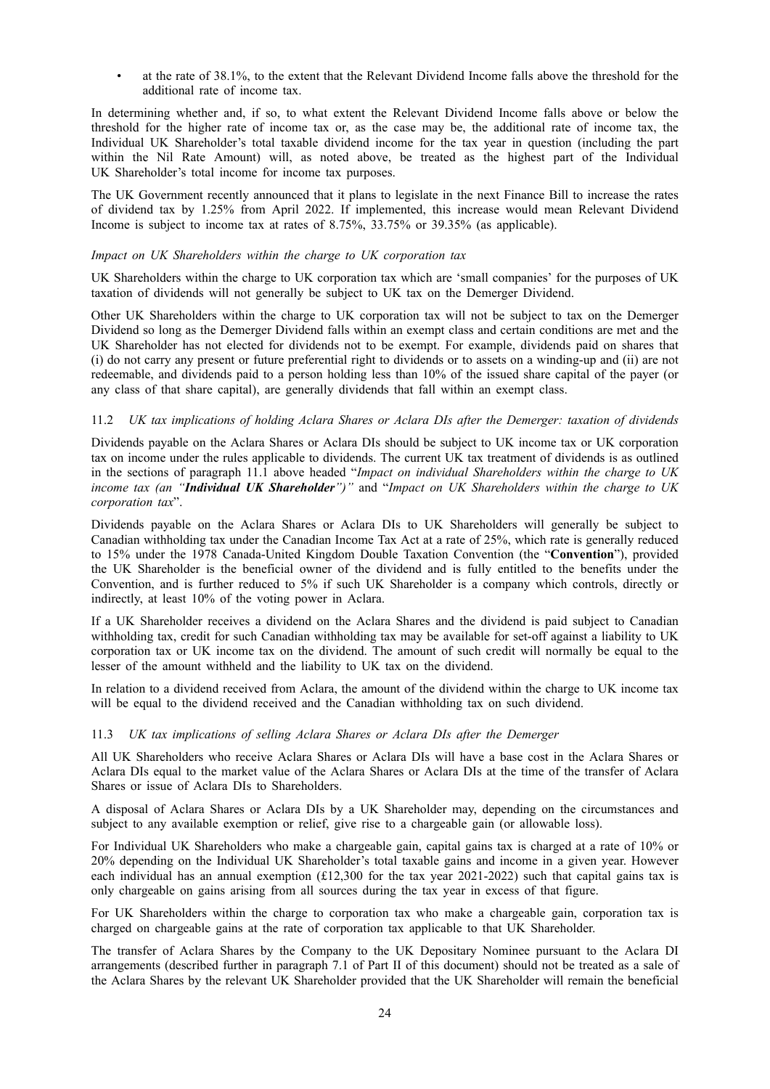• at the rate of 38.1%, to the extent that the Relevant Dividend Income falls above the threshold for the additional rate of income tax.

In determining whether and, if so, to what extent the Relevant Dividend Income falls above or below the threshold for the higher rate of income tax or, as the case may be, the additional rate of income tax, the Individual UK Shareholder's total taxable dividend income for the tax year in question (including the part within the Nil Rate Amount) will, as noted above, be treated as the highest part of the Individual UK Shareholder's total income for income tax purposes.

The UK Government recently announced that it plans to legislate in the next Finance Bill to increase the rates of dividend tax by 1.25% from April 2022. If implemented, this increase would mean Relevant Dividend Income is subject to income tax at rates of 8.75%, 33.75% or 39.35% (as applicable).

## *Impact on UK Shareholders within the charge to UK corporation tax*

UK Shareholders within the charge to UK corporation tax which are 'small companies' for the purposes of UK taxation of dividends will not generally be subject to UK tax on the Demerger Dividend.

Other UK Shareholders within the charge to UK corporation tax will not be subject to tax on the Demerger Dividend so long as the Demerger Dividend falls within an exempt class and certain conditions are met and the UK Shareholder has not elected for dividends not to be exempt. For example, dividends paid on shares that (i) do not carry any present or future preferential right to dividends or to assets on a winding-up and (ii) are not redeemable, and dividends paid to a person holding less than 10% of the issued share capital of the payer (or any class of that share capital), are generally dividends that fall within an exempt class.

## 11.2 *UK tax implications of holding Aclara Shares or Aclara DIs after the Demerger: taxation of dividends*

Dividends payable on the Aclara Shares or Aclara DIs should be subject to UK income tax or UK corporation tax on income under the rules applicable to dividends. The current UK tax treatment of dividends is as outlined in the sections of paragraph 11.1 above headed "*Impact on individual Shareholders within the charge to UK income tax (an "Individual UK Shareholder")"* and "*Impact on UK Shareholders within the charge to UK corporation tax*".

Dividends payable on the Aclara Shares or Aclara DIs to UK Shareholders will generally be subject to Canadian withholding tax under the Canadian Income Tax Act at a rate of 25%, which rate is generally reduced to 15% under the 1978 Canada-United Kingdom Double Taxation Convention (the "**Convention**"), provided the UK Shareholder is the beneficial owner of the dividend and is fully entitled to the benefits under the Convention, and is further reduced to 5% if such UK Shareholder is a company which controls, directly or indirectly, at least 10% of the voting power in Aclara.

If a UK Shareholder receives a dividend on the Aclara Shares and the dividend is paid subject to Canadian withholding tax, credit for such Canadian withholding tax may be available for set-off against a liability to UK corporation tax or UK income tax on the dividend. The amount of such credit will normally be equal to the lesser of the amount withheld and the liability to UK tax on the dividend.

In relation to a dividend received from Aclara, the amount of the dividend within the charge to UK income tax will be equal to the dividend received and the Canadian withholding tax on such dividend.

## 11.3 *UK tax implications of selling Aclara Shares or Aclara DIs after the Demerger*

All UK Shareholders who receive Aclara Shares or Aclara DIs will have a base cost in the Aclara Shares or Aclara DIs equal to the market value of the Aclara Shares or Aclara DIs at the time of the transfer of Aclara Shares or issue of Aclara DIs to Shareholders.

A disposal of Aclara Shares or Aclara DIs by a UK Shareholder may, depending on the circumstances and subject to any available exemption or relief, give rise to a chargeable gain (or allowable loss).

For Individual UK Shareholders who make a chargeable gain, capital gains tax is charged at a rate of 10% or 20% depending on the Individual UK Shareholder's total taxable gains and income in a given year. However each individual has an annual exemption  $(£12,300$  for the tax year 2021-2022) such that capital gains tax is only chargeable on gains arising from all sources during the tax year in excess of that figure.

For UK Shareholders within the charge to corporation tax who make a chargeable gain, corporation tax is charged on chargeable gains at the rate of corporation tax applicable to that UK Shareholder.

The transfer of Aclara Shares by the Company to the UK Depositary Nominee pursuant to the Aclara DI arrangements (described further in paragraph 7.1 of Part II of this document) should not be treated as a sale of the Aclara Shares by the relevant UK Shareholder provided that the UK Shareholder will remain the beneficial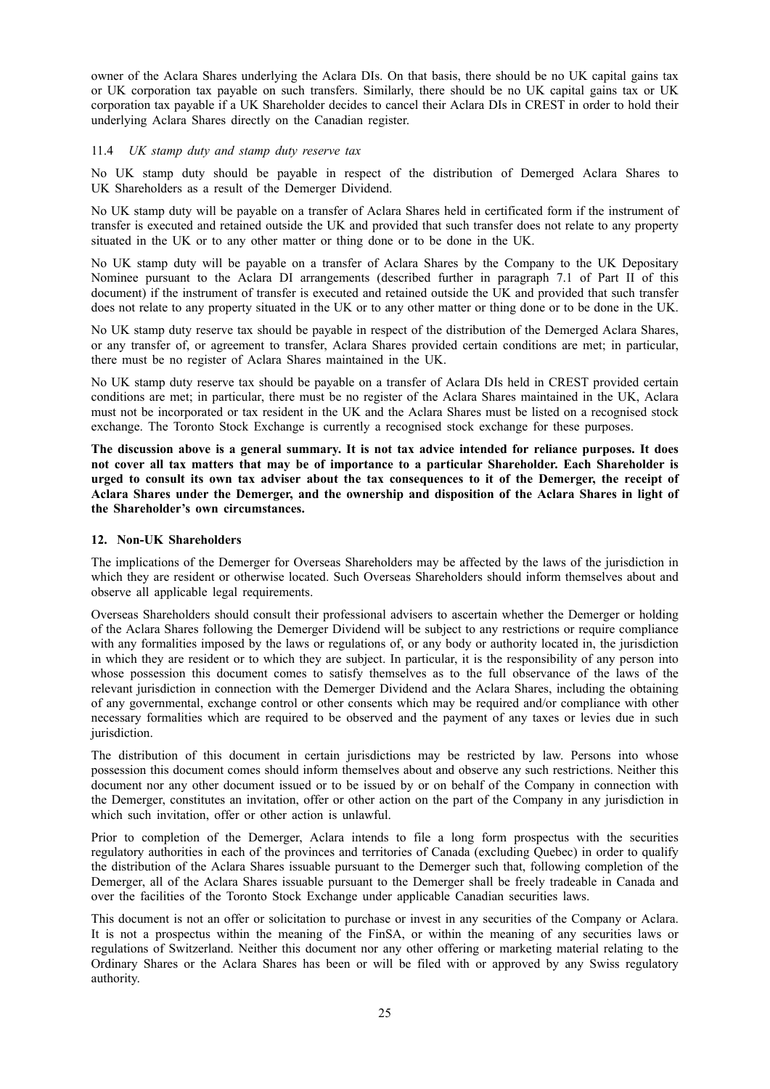owner of the Aclara Shares underlying the Aclara DIs. On that basis, there should be no UK capital gains tax or UK corporation tax payable on such transfers. Similarly, there should be no UK capital gains tax or UK corporation tax payable if a UK Shareholder decides to cancel their Aclara DIs in CREST in order to hold their underlying Aclara Shares directly on the Canadian register.

## 11.4 *UK stamp duty and stamp duty reserve tax*

No UK stamp duty should be payable in respect of the distribution of Demerged Aclara Shares to UK Shareholders as a result of the Demerger Dividend.

No UK stamp duty will be payable on a transfer of Aclara Shares held in certificated form if the instrument of transfer is executed and retained outside the UK and provided that such transfer does not relate to any property situated in the UK or to any other matter or thing done or to be done in the UK.

No UK stamp duty will be payable on a transfer of Aclara Shares by the Company to the UK Depositary Nominee pursuant to the Aclara DI arrangements (described further in paragraph 7.1 of Part II of this document) if the instrument of transfer is executed and retained outside the UK and provided that such transfer does not relate to any property situated in the UK or to any other matter or thing done or to be done in the UK.

No UK stamp duty reserve tax should be payable in respect of the distribution of the Demerged Aclara Shares, or any transfer of, or agreement to transfer, Aclara Shares provided certain conditions are met; in particular, there must be no register of Aclara Shares maintained in the UK.

No UK stamp duty reserve tax should be payable on a transfer of Aclara DIs held in CREST provided certain conditions are met; in particular, there must be no register of the Aclara Shares maintained in the UK, Aclara must not be incorporated or tax resident in the UK and the Aclara Shares must be listed on a recognised stock exchange. The Toronto Stock Exchange is currently a recognised stock exchange for these purposes.

The discussion above is a general summary. It is not tax advice intended for reliance purposes. It does **not cover all tax matters that may be of importance to a particular Shareholder. Each Shareholder is** urged to consult its own tax adviser about the tax consequences to it of the Demerger, the receipt of **Aclara Shares under the Demerger, and the ownership and disposition of the Aclara Shares in light of the Shareholder's own circumstances.**

## **12. Non-UK Shareholders**

The implications of the Demerger for Overseas Shareholders may be affected by the laws of the jurisdiction in which they are resident or otherwise located. Such Overseas Shareholders should inform themselves about and observe all applicable legal requirements.

Overseas Shareholders should consult their professional advisers to ascertain whether the Demerger or holding of the Aclara Shares following the Demerger Dividend will be subject to any restrictions or require compliance with any formalities imposed by the laws or regulations of, or any body or authority located in, the jurisdiction in which they are resident or to which they are subject. In particular, it is the responsibility of any person into whose possession this document comes to satisfy themselves as to the full observance of the laws of the relevant jurisdiction in connection with the Demerger Dividend and the Aclara Shares, including the obtaining of any governmental, exchange control or other consents which may be required and/or compliance with other necessary formalities which are required to be observed and the payment of any taxes or levies due in such jurisdiction.

The distribution of this document in certain jurisdictions may be restricted by law. Persons into whose possession this document comes should inform themselves about and observe any such restrictions. Neither this document nor any other document issued or to be issued by or on behalf of the Company in connection with the Demerger, constitutes an invitation, offer or other action on the part of the Company in any jurisdiction in which such invitation, offer or other action is unlawful.

Prior to completion of the Demerger, Aclara intends to file a long form prospectus with the securities regulatory authorities in each of the provinces and territories of Canada (excluding Quebec) in order to qualify the distribution of the Aclara Shares issuable pursuant to the Demerger such that, following completion of the Demerger, all of the Aclara Shares issuable pursuant to the Demerger shall be freely tradeable in Canada and over the facilities of the Toronto Stock Exchange under applicable Canadian securities laws.

This document is not an offer or solicitation to purchase or invest in any securities of the Company or Aclara. It is not a prospectus within the meaning of the FinSA, or within the meaning of any securities laws or regulations of Switzerland. Neither this document nor any other offering or marketing material relating to the Ordinary Shares or the Aclara Shares has been or will be filed with or approved by any Swiss regulatory authority.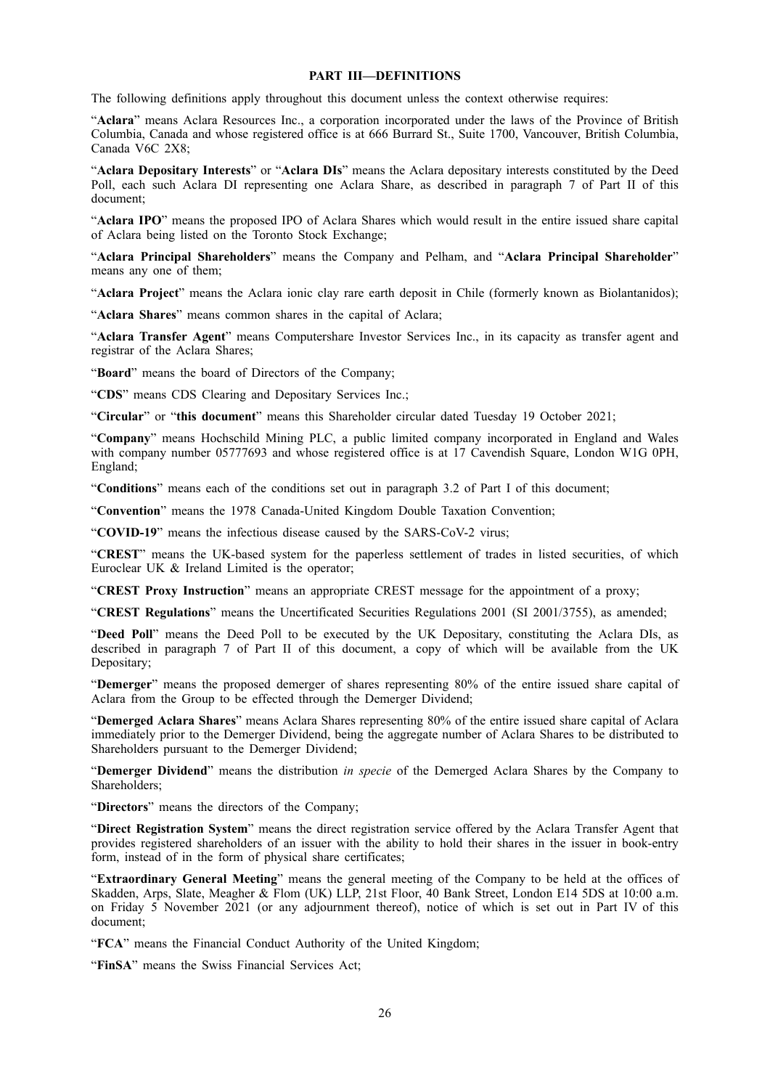## **PART III—DEFINITIONS**

The following definitions apply throughout this document unless the context otherwise requires:

"**Aclara**" means Aclara Resources Inc., a corporation incorporated under the laws of the Province of British Columbia, Canada and whose registered office is at 666 Burrard St., Suite 1700, Vancouver, British Columbia, Canada V6C 2X8;

"**Aclara Depositary Interests**" or "**Aclara DIs**" means the Aclara depositary interests constituted by the Deed Poll, each such Aclara DI representing one Aclara Share, as described in paragraph 7 of Part II of this document;

"**Aclara IPO**" means the proposed IPO of Aclara Shares which would result in the entire issued share capital of Aclara being listed on the Toronto Stock Exchange;

"**Aclara Principal Shareholders**" means the Company and Pelham, and "**Aclara Principal Shareholder**" means any one of them;

"**Aclara Project**" means the Aclara ionic clay rare earth deposit in Chile (formerly known as Biolantanidos);

"**Aclara Shares**" means common shares in the capital of Aclara;

"**Aclara Transfer Agent**" means Computershare Investor Services Inc., in its capacity as transfer agent and registrar of the Aclara Shares;

"**Board**" means the board of Directors of the Company;

"**CDS**" means CDS Clearing and Depositary Services Inc.;

"**Circular**" or "**this document**" means this Shareholder circular dated Tuesday 19 October 2021;

"**Company**" means Hochschild Mining PLC, a public limited company incorporated in England and Wales with company number 05777693 and whose registered office is at 17 Cavendish Square, London W1G 0PH, England;

"**Conditions**" means each of the conditions set out in paragraph 3.2 of Part I of this document;

"**Convention**" means the 1978 Canada-United Kingdom Double Taxation Convention;

"**COVID-19**" means the infectious disease caused by the SARS-CoV-2 virus;

"**CREST**" means the UK-based system for the paperless settlement of trades in listed securities, of which Euroclear UK & Ireland Limited is the operator;

"**CREST Proxy Instruction**" means an appropriate CREST message for the appointment of a proxy;

"**CREST Regulations**" means the Uncertificated Securities Regulations 2001 (SI 2001/3755), as amended;

"**Deed Poll**" means the Deed Poll to be executed by the UK Depositary, constituting the Aclara DIs, as described in paragraph 7 of Part II of this document, a copy of which will be available from the UK Depositary;

"**Demerger**" means the proposed demerger of shares representing 80% of the entire issued share capital of Aclara from the Group to be effected through the Demerger Dividend;

"**Demerged Aclara Shares**" means Aclara Shares representing 80% of the entire issued share capital of Aclara immediately prior to the Demerger Dividend, being the aggregate number of Aclara Shares to be distributed to Shareholders pursuant to the Demerger Dividend;

"**Demerger Dividend**" means the distribution *in specie* of the Demerged Aclara Shares by the Company to Shareholders:

"**Directors**" means the directors of the Company;

"**Direct Registration System**" means the direct registration service offered by the Aclara Transfer Agent that provides registered shareholders of an issuer with the ability to hold their shares in the issuer in book-entry form, instead of in the form of physical share certificates;

"**Extraordinary General Meeting**" means the general meeting of the Company to be held at the offices of Skadden, Arps, Slate, Meagher & Flom (UK) LLP, 21st Floor, 40 Bank Street, London E14 5DS at 10:00 a.m. on Friday 5 November 2021 (or any adjournment thereof), notice of which is set out in Part IV of this document;

"**FCA**" means the Financial Conduct Authority of the United Kingdom;

"**FinSA**" means the Swiss Financial Services Act;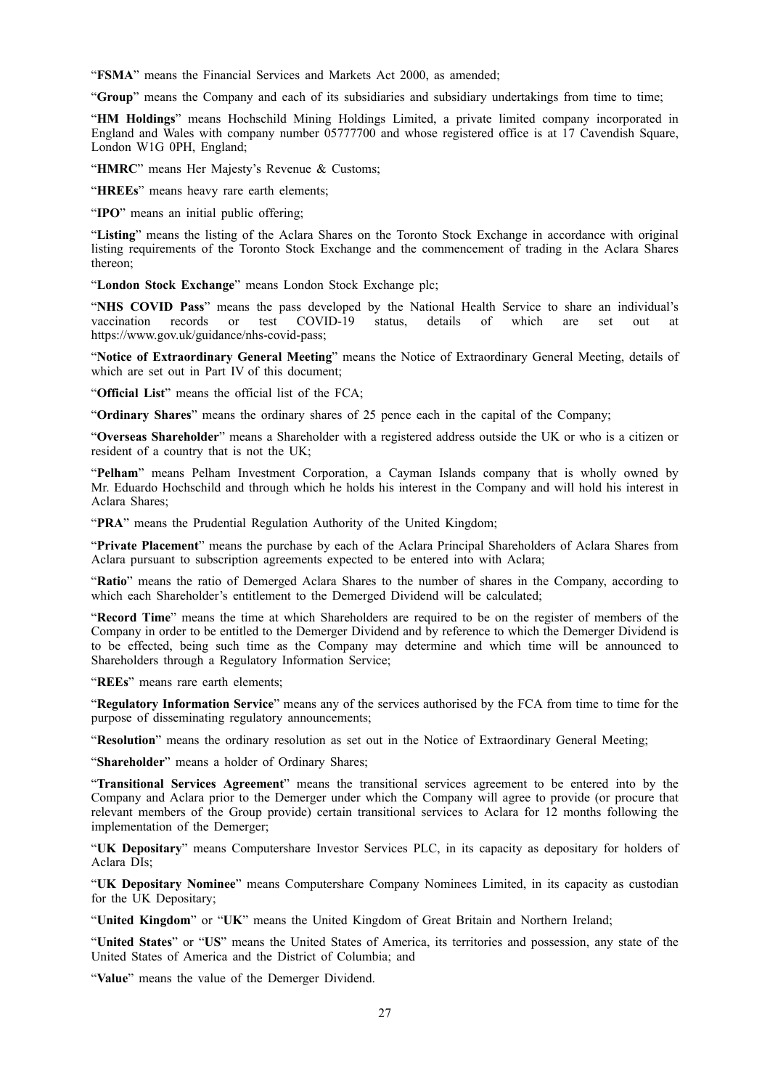"**FSMA**" means the Financial Services and Markets Act 2000, as amended;

"**Group**" means the Company and each of its subsidiaries and subsidiary undertakings from time to time;

"**HM Holdings**" means Hochschild Mining Holdings Limited, a private limited company incorporated in England and Wales with company number 05777700 and whose registered office is at 17 Cavendish Square, London W1G 0PH, England;

"**HMRC**" means Her Majesty's Revenue & Customs;

"**HREEs**" means heavy rare earth elements;

"**IPO**" means an initial public offering;

"**Listing**" means the listing of the Aclara Shares on the Toronto Stock Exchange in accordance with original listing requirements of the Toronto Stock Exchange and the commencement of trading in the Aclara Shares thereon;

"**London Stock Exchange**" means London Stock Exchange plc;

"**NHS COVID Pass**" means the pass developed by the National Health Service to share an individual's vaccination records or test COVID-19 status, details of which are set out at https://www.gov.uk/guidance/nhs-covid-pass;

"**Notice of Extraordinary General Meeting**" means the Notice of Extraordinary General Meeting, details of which are set out in Part IV of this document;

"**Official List**" means the official list of the FCA;

"**Ordinary Shares**" means the ordinary shares of 25 pence each in the capital of the Company;

"**Overseas Shareholder**" means a Shareholder with a registered address outside the UK or who is a citizen or resident of a country that is not the UK;

"**Pelham**" means Pelham Investment Corporation, a Cayman Islands company that is wholly owned by Mr. Eduardo Hochschild and through which he holds his interest in the Company and will hold his interest in Aclara Shares;

"**PRA**" means the Prudential Regulation Authority of the United Kingdom;

"**Private Placement**" means the purchase by each of the Aclara Principal Shareholders of Aclara Shares from Aclara pursuant to subscription agreements expected to be entered into with Aclara;

"**Ratio**" means the ratio of Demerged Aclara Shares to the number of shares in the Company, according to which each Shareholder's entitlement to the Demerged Dividend will be calculated;

"**Record Time**" means the time at which Shareholders are required to be on the register of members of the Company in order to be entitled to the Demerger Dividend and by reference to which the Demerger Dividend is to be effected, being such time as the Company may determine and which time will be announced to Shareholders through a Regulatory Information Service;

"**REEs**" means rare earth elements;

"**Regulatory Information Service**" means any of the services authorised by the FCA from time to time for the purpose of disseminating regulatory announcements;

"**Resolution**" means the ordinary resolution as set out in the Notice of Extraordinary General Meeting;

"**Shareholder**" means a holder of Ordinary Shares;

"**Transitional Services Agreement**" means the transitional services agreement to be entered into by the Company and Aclara prior to the Demerger under which the Company will agree to provide (or procure that relevant members of the Group provide) certain transitional services to Aclara for 12 months following the implementation of the Demerger;

"**UK Depositary**" means Computershare Investor Services PLC, in its capacity as depositary for holders of Aclara DIs;

"**UK Depositary Nominee**" means Computershare Company Nominees Limited, in its capacity as custodian for the UK Depositary;

"**United Kingdom**" or "**UK**" means the United Kingdom of Great Britain and Northern Ireland;

"**United States**" or "**US**" means the United States of America, its territories and possession, any state of the United States of America and the District of Columbia; and

"**Value**" means the value of the Demerger Dividend.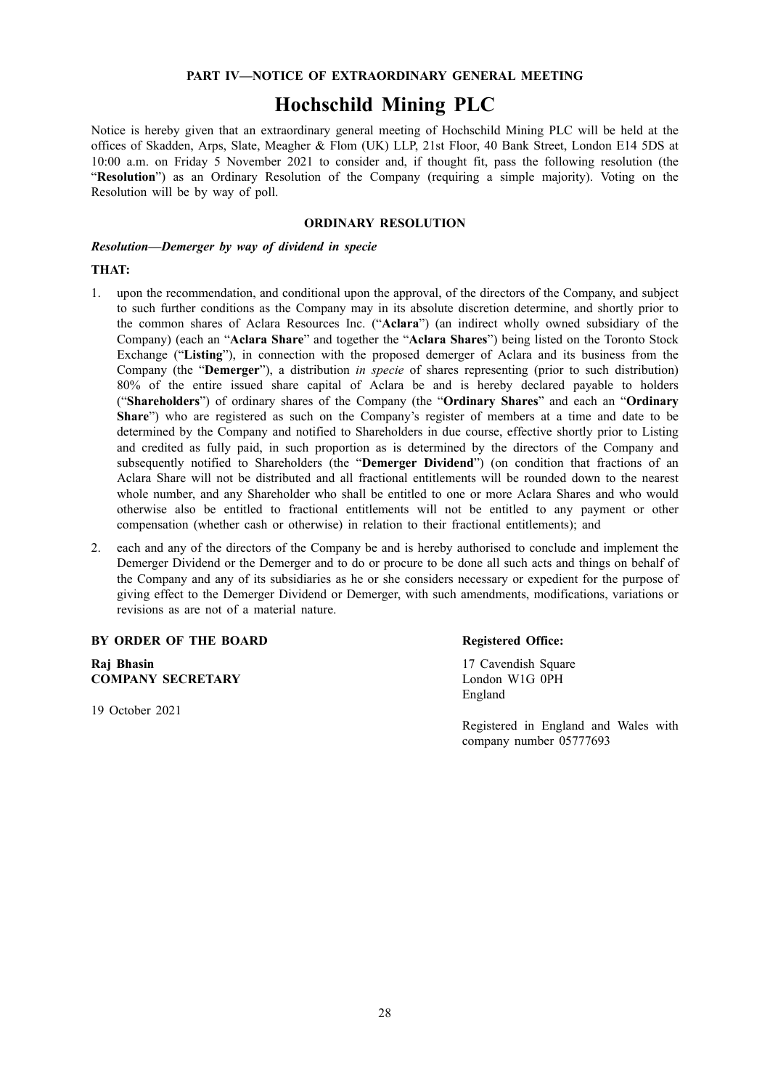## **PART IV—NOTICE OF EXTRAORDINARY GENERAL MEETING**

# **Hochschild Mining PLC**

Notice is hereby given that an extraordinary general meeting of Hochschild Mining PLC will be held at the offices of Skadden, Arps, Slate, Meagher & Flom (UK) LLP, 21st Floor, 40 Bank Street, London E14 5DS at 10:00 a.m. on Friday 5 November 2021 to consider and, if thought fit, pass the following resolution (the "**Resolution**") as an Ordinary Resolution of the Company (requiring a simple majority). Voting on the Resolution will be by way of poll.

## **ORDINARY RESOLUTION**

*Resolution—Demerger by way of dividend in specie*

## **THAT:**

- 1. upon the recommendation, and conditional upon the approval, of the directors of the Company, and subject to such further conditions as the Company may in its absolute discretion determine, and shortly prior to the common shares of Aclara Resources Inc. ("**Aclara**") (an indirect wholly owned subsidiary of the Company) (each an "**Aclara Share**" and together the "**Aclara Shares**") being listed on the Toronto Stock Exchange ("**Listing**"), in connection with the proposed demerger of Aclara and its business from the Company (the "**Demerger**"), a distribution *in specie* of shares representing (prior to such distribution) 80% of the entire issued share capital of Aclara be and is hereby declared payable to holders ("**Shareholders**") of ordinary shares of the Company (the "**Ordinary Shares**" and each an "**Ordinary Share**") who are registered as such on the Company's register of members at a time and date to be determined by the Company and notified to Shareholders in due course, effective shortly prior to Listing and credited as fully paid, in such proportion as is determined by the directors of the Company and subsequently notified to Shareholders (the "**Demerger Dividend**") (on condition that fractions of an Aclara Share will not be distributed and all fractional entitlements will be rounded down to the nearest whole number, and any Shareholder who shall be entitled to one or more Aclara Shares and who would otherwise also be entitled to fractional entitlements will not be entitled to any payment or other compensation (whether cash or otherwise) in relation to their fractional entitlements); and
- 2. each and any of the directors of the Company be and is hereby authorised to conclude and implement the Demerger Dividend or the Demerger and to do or procure to be done all such acts and things on behalf of the Company and any of its subsidiaries as he or she considers necessary or expedient for the purpose of giving effect to the Demerger Dividend or Demerger, with such amendments, modifications, variations or revisions as are not of a material nature.

## **BY ORDER OF THE BOARD Registered Office:**

**Raj Bhasin COMPANY SECRETARY**

19 October 2021

17 Cavendish Square London W1G 0PH England

Registered in England and Wales with company number 05777693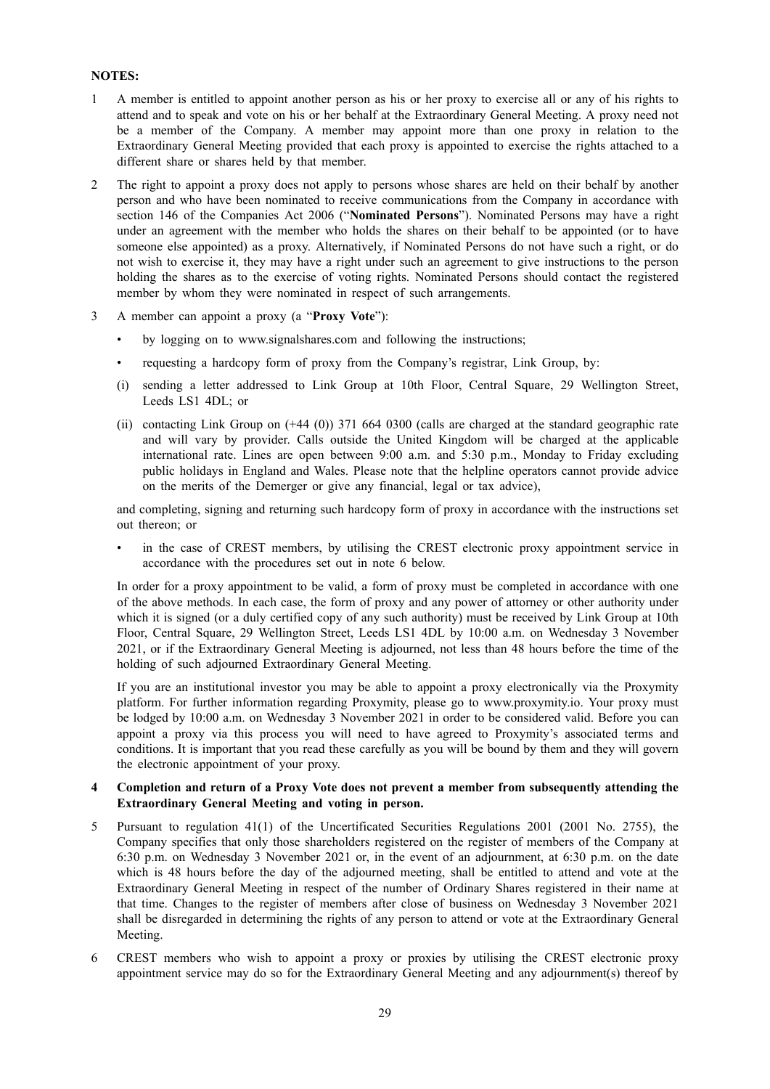## **NOTES:**

- 1 A member is entitled to appoint another person as his or her proxy to exercise all or any of his rights to attend and to speak and vote on his or her behalf at the Extraordinary General Meeting. A proxy need not be a member of the Company. A member may appoint more than one proxy in relation to the Extraordinary General Meeting provided that each proxy is appointed to exercise the rights attached to a different share or shares held by that member.
- 2 The right to appoint a proxy does not apply to persons whose shares are held on their behalf by another person and who have been nominated to receive communications from the Company in accordance with section 146 of the Companies Act 2006 ("**Nominated Persons**"). Nominated Persons may have a right under an agreement with the member who holds the shares on their behalf to be appointed (or to have someone else appointed) as a proxy. Alternatively, if Nominated Persons do not have such a right, or do not wish to exercise it, they may have a right under such an agreement to give instructions to the person holding the shares as to the exercise of voting rights. Nominated Persons should contact the registered member by whom they were nominated in respect of such arrangements.
- 3 A member can appoint a proxy (a "**Proxy Vote**"):
	- by logging on to www.signalshares.com and following the instructions;
	- requesting a hardcopy form of proxy from the Company's registrar, Link Group, by:
	- (i) sending a letter addressed to Link Group at 10th Floor, Central Square, 29 Wellington Street, Leeds LS1 4DL; or
	- (ii) contacting Link Group on (+44 (0)) 371 664 0300 (calls are charged at the standard geographic rate and will vary by provider. Calls outside the United Kingdom will be charged at the applicable international rate. Lines are open between 9:00 a.m. and 5:30 p.m., Monday to Friday excluding public holidays in England and Wales. Please note that the helpline operators cannot provide advice on the merits of the Demerger or give any financial, legal or tax advice),

and completing, signing and returning such hardcopy form of proxy in accordance with the instructions set out thereon; or

in the case of CREST members, by utilising the CREST electronic proxy appointment service in accordance with the procedures set out in note 6 below.

In order for a proxy appointment to be valid, a form of proxy must be completed in accordance with one of the above methods. In each case, the form of proxy and any power of attorney or other authority under which it is signed (or a duly certified copy of any such authority) must be received by Link Group at 10th Floor, Central Square, 29 Wellington Street, Leeds LS1 4DL by 10:00 a.m. on Wednesday 3 November 2021, or if the Extraordinary General Meeting is adjourned, not less than 48 hours before the time of the holding of such adjourned Extraordinary General Meeting.

If you are an institutional investor you may be able to appoint a proxy electronically via the Proxymity platform. For further information regarding Proxymity, please go to www.proxymity.io. Your proxy must be lodged by 10:00 a.m. on Wednesday 3 November 2021 in order to be considered valid. Before you can appoint a proxy via this process you will need to have agreed to Proxymity's associated terms and conditions. It is important that you read these carefully as you will be bound by them and they will govern the electronic appointment of your proxy.

## **4 Completion and return of a Proxy Vote does not prevent a member from subsequently attending the Extraordinary General Meeting and voting in person.**

- 5 Pursuant to regulation 41(1) of the Uncertificated Securities Regulations 2001 (2001 No. 2755), the Company specifies that only those shareholders registered on the register of members of the Company at 6:30 p.m. on Wednesday 3 November 2021 or, in the event of an adjournment, at 6:30 p.m. on the date which is 48 hours before the day of the adjourned meeting, shall be entitled to attend and vote at the Extraordinary General Meeting in respect of the number of Ordinary Shares registered in their name at that time. Changes to the register of members after close of business on Wednesday 3 November 2021 shall be disregarded in determining the rights of any person to attend or vote at the Extraordinary General Meeting.
- 6 CREST members who wish to appoint a proxy or proxies by utilising the CREST electronic proxy appointment service may do so for the Extraordinary General Meeting and any adjournment(s) thereof by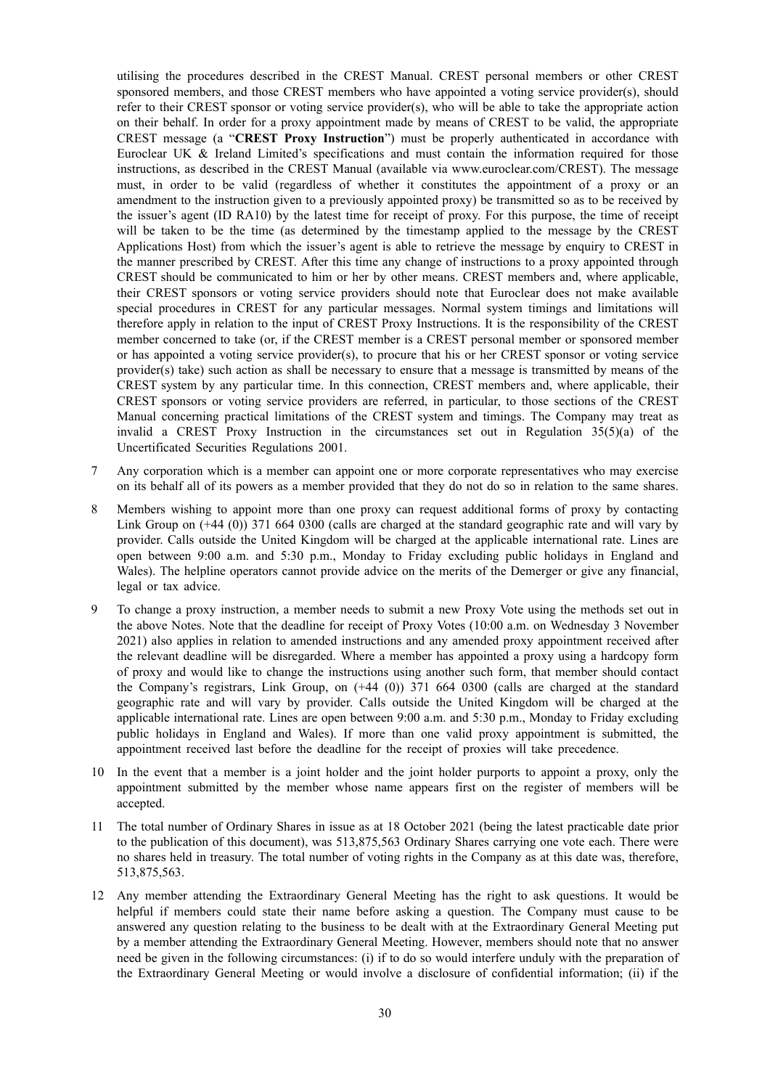utilising the procedures described in the CREST Manual. CREST personal members or other CREST sponsored members, and those CREST members who have appointed a voting service provider(s), should refer to their CREST sponsor or voting service provider(s), who will be able to take the appropriate action on their behalf. In order for a proxy appointment made by means of CREST to be valid, the appropriate CREST message (a "**CREST Proxy Instruction**") must be properly authenticated in accordance with Euroclear UK & Ireland Limited's specifications and must contain the information required for those instructions, as described in the CREST Manual (available via www.euroclear.com/CREST). The message must, in order to be valid (regardless of whether it constitutes the appointment of a proxy or an amendment to the instruction given to a previously appointed proxy) be transmitted so as to be received by the issuer's agent (ID RA10) by the latest time for receipt of proxy. For this purpose, the time of receipt will be taken to be the time (as determined by the timestamp applied to the message by the CREST Applications Host) from which the issuer's agent is able to retrieve the message by enquiry to CREST in the manner prescribed by CREST. After this time any change of instructions to a proxy appointed through CREST should be communicated to him or her by other means. CREST members and, where applicable, their CREST sponsors or voting service providers should note that Euroclear does not make available special procedures in CREST for any particular messages. Normal system timings and limitations will therefore apply in relation to the input of CREST Proxy Instructions. It is the responsibility of the CREST member concerned to take (or, if the CREST member is a CREST personal member or sponsored member or has appointed a voting service provider(s), to procure that his or her CREST sponsor or voting service provider(s) take) such action as shall be necessary to ensure that a message is transmitted by means of the CREST system by any particular time. In this connection, CREST members and, where applicable, their CREST sponsors or voting service providers are referred, in particular, to those sections of the CREST Manual concerning practical limitations of the CREST system and timings. The Company may treat as invalid a CREST Proxy Instruction in the circumstances set out in Regulation  $35(5)(a)$  of the Uncertificated Securities Regulations 2001.

- 7 Any corporation which is a member can appoint one or more corporate representatives who may exercise on its behalf all of its powers as a member provided that they do not do so in relation to the same shares.
- 8 Members wishing to appoint more than one proxy can request additional forms of proxy by contacting Link Group on (+44 (0)) 371 664 0300 (calls are charged at the standard geographic rate and will vary by provider. Calls outside the United Kingdom will be charged at the applicable international rate. Lines are open between 9:00 a.m. and 5:30 p.m., Monday to Friday excluding public holidays in England and Wales). The helpline operators cannot provide advice on the merits of the Demerger or give any financial, legal or tax advice.
- 9 To change a proxy instruction, a member needs to submit a new Proxy Vote using the methods set out in the above Notes. Note that the deadline for receipt of Proxy Votes (10:00 a.m. on Wednesday 3 November 2021) also applies in relation to amended instructions and any amended proxy appointment received after the relevant deadline will be disregarded. Where a member has appointed a proxy using a hardcopy form of proxy and would like to change the instructions using another such form, that member should contact the Company's registrars, Link Group, on (+44 (0)) 371 664 0300 (calls are charged at the standard geographic rate and will vary by provider. Calls outside the United Kingdom will be charged at the applicable international rate. Lines are open between 9:00 a.m. and 5:30 p.m., Monday to Friday excluding public holidays in England and Wales). If more than one valid proxy appointment is submitted, the appointment received last before the deadline for the receipt of proxies will take precedence.
- 10 In the event that a member is a joint holder and the joint holder purports to appoint a proxy, only the appointment submitted by the member whose name appears first on the register of members will be accepted.
- 11 The total number of Ordinary Shares in issue as at 18 October 2021 (being the latest practicable date prior to the publication of this document), was 513,875,563 Ordinary Shares carrying one vote each. There were no shares held in treasury. The total number of voting rights in the Company as at this date was, therefore, 513,875,563.
- 12 Any member attending the Extraordinary General Meeting has the right to ask questions. It would be helpful if members could state their name before asking a question. The Company must cause to be answered any question relating to the business to be dealt with at the Extraordinary General Meeting put by a member attending the Extraordinary General Meeting. However, members should note that no answer need be given in the following circumstances: (i) if to do so would interfere unduly with the preparation of the Extraordinary General Meeting or would involve a disclosure of confidential information; (ii) if the